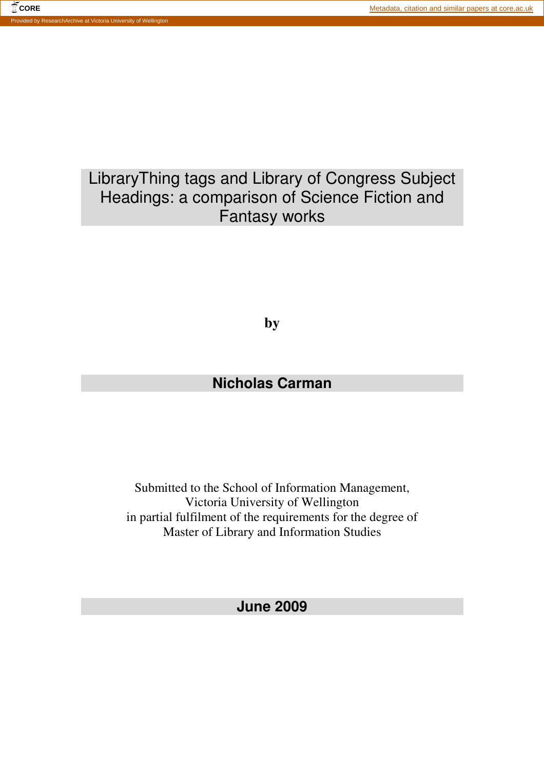#### **CORE** CORE **CORE CORE CORE CORE CORE CORE CORE CORE CORE CORE CORE CORE CORE CORE CORE CORE CORE CORE CORE CORE CORE CORE CORE CORE CORE CORE CORE CORE CORE CORE** Provided by ResearchArchive at Victoria University of Wellington

# LibraryThing tags and Library of Congress Subject Headings: a comparison of Science Fiction and Fantasy works

**by** 

# **Nicholas Carman**

Submitted to the School of Information Management, Victoria University of Wellington in partial fulfilment of the requirements for the degree of Master of Library and Information Studies

**June 2009**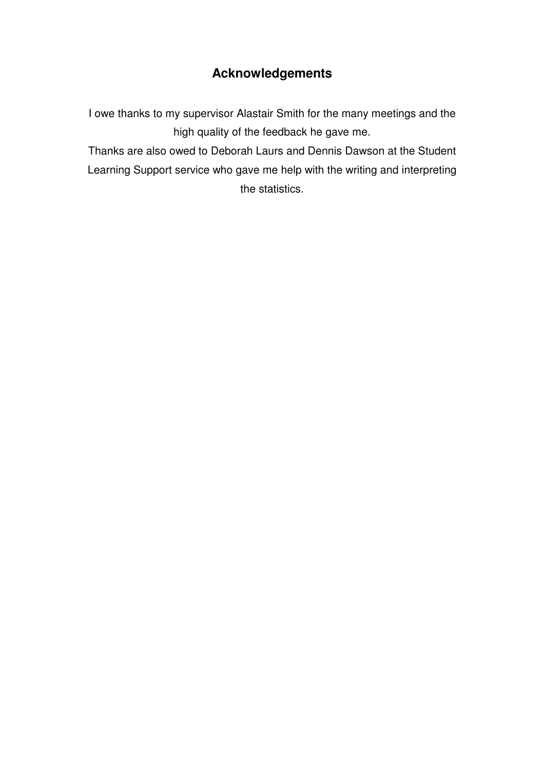# **Acknowledgements**

I owe thanks to my supervisor Alastair Smith for the many meetings and the high quality of the feedback he gave me.

Thanks are also owed to Deborah Laurs and Dennis Dawson at the Student Learning Support service who gave me help with the writing and interpreting the statistics.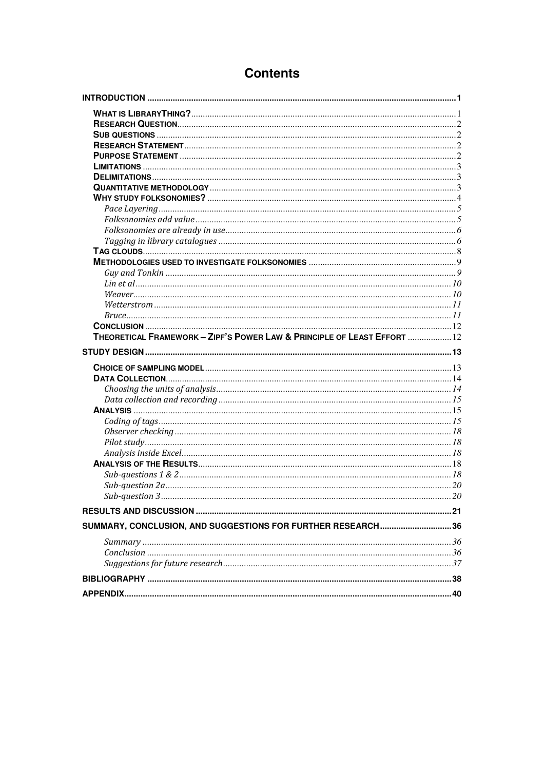# **Contents**

| THEORETICAL FRAMEWORK - ZIPF'S POWER LAW & PRINCIPLE OF LEAST EFFORT  12 |  |
|--------------------------------------------------------------------------|--|
|                                                                          |  |
|                                                                          |  |
|                                                                          |  |
|                                                                          |  |
|                                                                          |  |
|                                                                          |  |
|                                                                          |  |
|                                                                          |  |
|                                                                          |  |
|                                                                          |  |
|                                                                          |  |
|                                                                          |  |
|                                                                          |  |
|                                                                          |  |
|                                                                          |  |
|                                                                          |  |
| SUMMARY, CONCLUSION, AND SUGGESTIONS FOR FURTHER RESEARCH36              |  |
|                                                                          |  |
|                                                                          |  |
|                                                                          |  |
|                                                                          |  |
|                                                                          |  |
|                                                                          |  |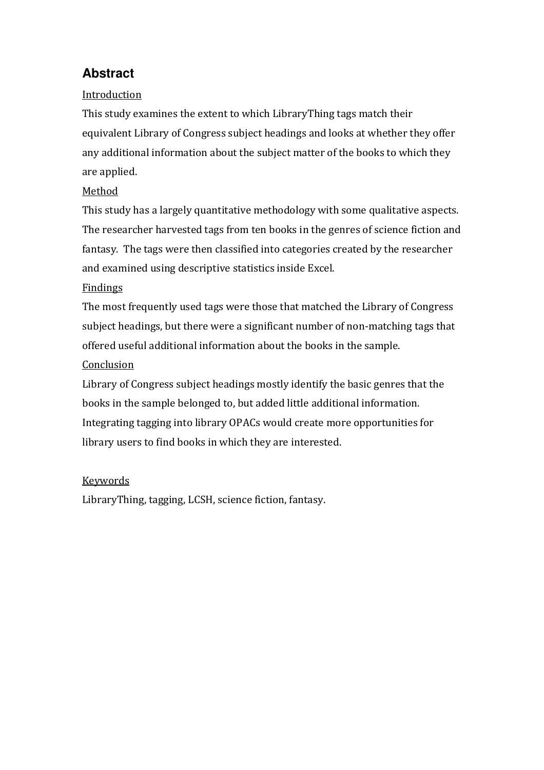# **Abstract**

# Introduction

This study examines the extent to which LibraryThing tags match their equivalent Library of Congress subject headings and looks at whether they offer any additional information about the subject matter of the books to which they are applied.

## Method

This study has a largely quantitative methodology with some qualitative aspects. The researcher harvested tags from ten books in the genres of science fiction and fantasy. The tags were then classified into categories created by the researcher and examined using descriptive statistics inside Excel.

## Findings

The most frequently used tags were those that matched the Library of Congress subject headings, but there were a significant number of non-matching tags that offered useful additional information about the books in the sample.

## **Conclusion**

Library of Congress subject headings mostly identify the basic genres that the books in the sample belonged to, but added little additional information. Integrating tagging into library OPACs would create more opportunities for library users to find books in which they are interested.

## Keywords

LibraryThing, tagging, LCSH, science fiction, fantasy.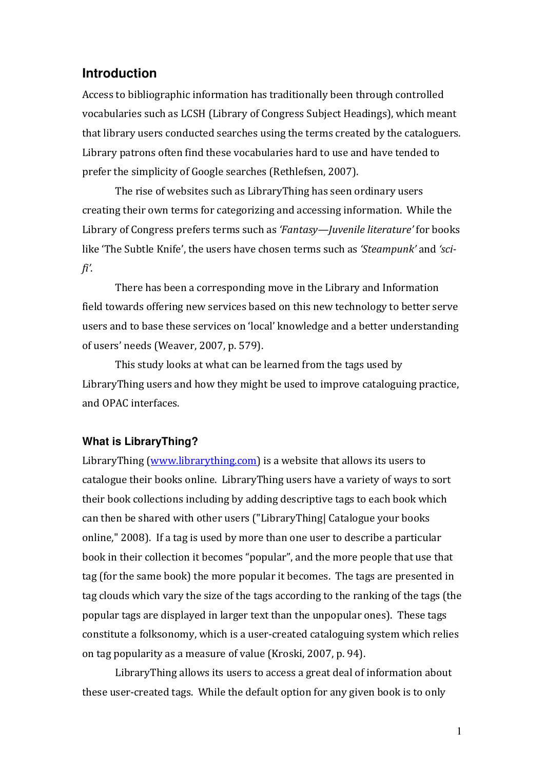## **Introduction**

Access to bibliographic information has traditionally been through controlled vocabularies such as LCSH (Library of Congress Subject Headings), which meant that library users conducted searches using the terms created by the cataloguers. Library patrons often find these vocabularies hard to use and have tended to prefer the simplicity of Google searches (Rethlefsen, 2007).

The rise of websites such as LibraryThing has seen ordinary users creating their own terms for categorizing and accessing information. While the Library of Congress prefers terms such as 'Fantasy—Juvenile literature' for books like 'The Subtle Knife', the users have chosen terms such as 'Steampunk' and 'scifi'.

There has been a corresponding move in the Library and Information field towards offering new services based on this new technology to better serve users and to base these services on 'local' knowledge and a better understanding of users' needs (Weaver, 2007, p. 579).

This study looks at what can be learned from the tags used by LibraryThing users and how they might be used to improve cataloguing practice, and OPAC interfaces.

## **What is LibraryThing?**

LibraryThing (www.librarything.com) is a website that allows its users to catalogue their books online. LibraryThing users have a variety of ways to sort their book collections including by adding descriptive tags to each book which can then be shared with other users ("LibraryThing| Catalogue your books online," 2008). If a tag is used by more than one user to describe a particular book in their collection it becomes "popular", and the more people that use that tag (for the same book) the more popular it becomes. The tags are presented in tag clouds which vary the size of the tags according to the ranking of the tags (the popular tags are displayed in larger text than the unpopular ones). These tags constitute a folksonomy, which is a user-created cataloguing system which relies on tag popularity as a measure of value (Kroski, 2007, p. 94).

 LibraryThing allows its users to access a great deal of information about these user-created tags. While the default option for any given book is to only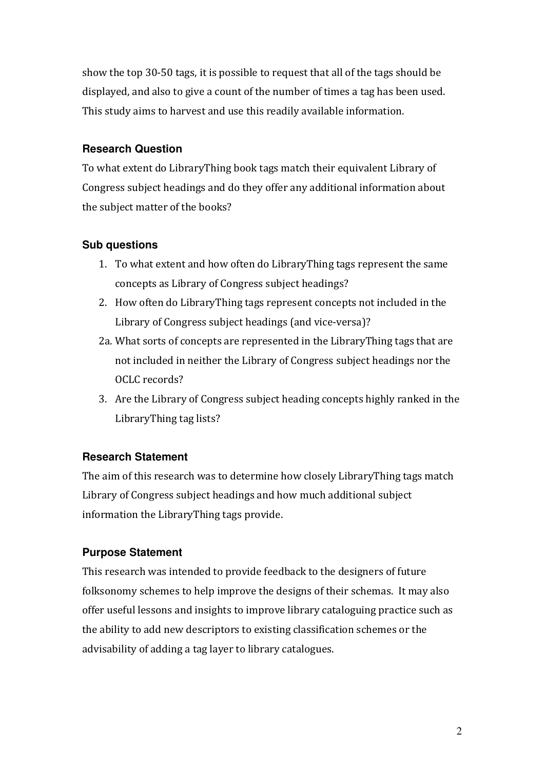show the top 30-50 tags, it is possible to request that all of the tags should be displayed, and also to give a count of the number of times a tag has been used. This study aims to harvest and use this readily available information.

## **Research Question**

To what extent do LibraryThing book tags match their equivalent Library of Congress subject headings and do they offer any additional information about the subject matter of the books?

## **Sub questions**

- 1. To what extent and how often do LibraryThing tags represent the same concepts as Library of Congress subject headings?
- 2. How often do LibraryThing tags represent concepts not included in the Library of Congress subject headings (and vice-versa)?
- 2a. What sorts of concepts are represented in the LibraryThing tags that are not included in neither the Library of Congress subject headings nor the OCLC records?
- 3. Are the Library of Congress subject heading concepts highly ranked in the LibraryThing tag lists?

## **Research Statement**

The aim of this research was to determine how closely LibraryThing tags match Library of Congress subject headings and how much additional subject information the LibraryThing tags provide.

## **Purpose Statement**

This research was intended to provide feedback to the designers of future folksonomy schemes to help improve the designs of their schemas. It may also offer useful lessons and insights to improve library cataloguing practice such as the ability to add new descriptors to existing classification schemes or the advisability of adding a tag layer to library catalogues.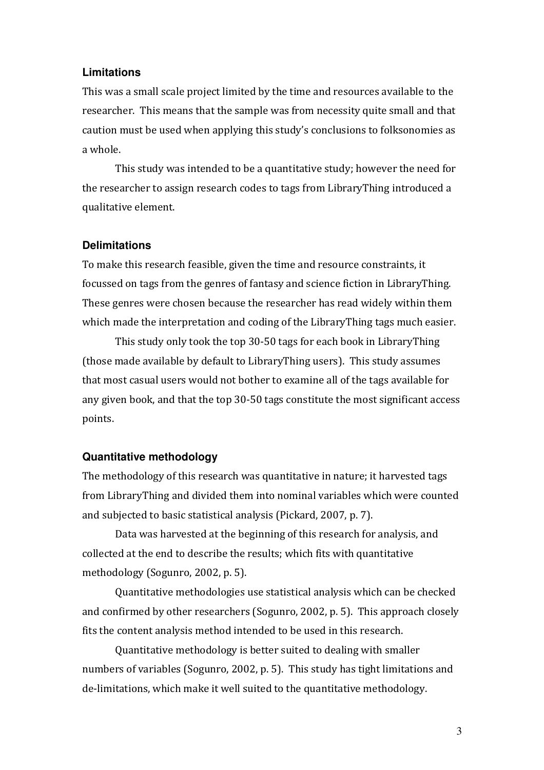## **Limitations**

This was a small scale project limited by the time and resources available to the researcher. This means that the sample was from necessity quite small and that caution must be used when applying this study's conclusions to folksonomies as a whole.

 This study was intended to be a quantitative study; however the need for the researcher to assign research codes to tags from LibraryThing introduced a qualitative element.

### **Delimitations**

To make this research feasible, given the time and resource constraints, it focussed on tags from the genres of fantasy and science fiction in LibraryThing. These genres were chosen because the researcher has read widely within them which made the interpretation and coding of the LibraryThing tags much easier.

This study only took the top 30-50 tags for each book in LibraryThing (those made available by default to LibraryThing users). This study assumes that most casual users would not bother to examine all of the tags available for any given book, and that the top 30-50 tags constitute the most significant access points.

## **Quantitative methodology**

The methodology of this research was quantitative in nature; it harvested tags from LibraryThing and divided them into nominal variables which were counted and subjected to basic statistical analysis (Pickard, 2007, p. 7).

Data was harvested at the beginning of this research for analysis, and collected at the end to describe the results; which fits with quantitative methodology (Sogunro, 2002, p. 5).

 Quantitative methodologies use statistical analysis which can be checked and confirmed by other researchers (Sogunro, 2002, p. 5). This approach closely fits the content analysis method intended to be used in this research.

 Quantitative methodology is better suited to dealing with smaller numbers of variables (Sogunro, 2002, p. 5). This study has tight limitations and de-limitations, which make it well suited to the quantitative methodology.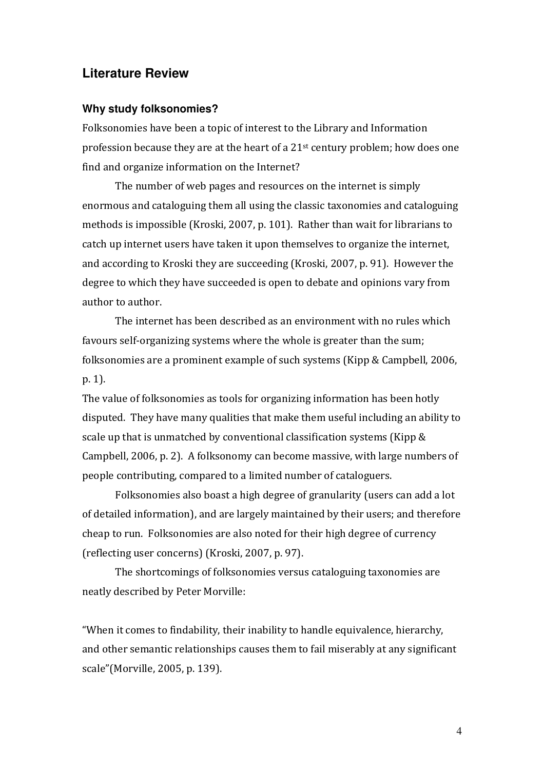## **Literature Review**

#### **Why study folksonomies?**

Folksonomies have been a topic of interest to the Library and Information profession because they are at the heart of a 21st century problem; how does one find and organize information on the Internet?

The number of web pages and resources on the internet is simply enormous and cataloguing them all using the classic taxonomies and cataloguing methods is impossible (Kroski, 2007, p. 101). Rather than wait for librarians to catch up internet users have taken it upon themselves to organize the internet, and according to Kroski they are succeeding (Kroski, 2007, p. 91). However the degree to which they have succeeded is open to debate and opinions vary from author to author.

The internet has been described as an environment with no rules which favours self-organizing systems where the whole is greater than the sum; folksonomies are a prominent example of such systems (Kipp & Campbell, 2006, p. 1).

The value of folksonomies as tools for organizing information has been hotly disputed. They have many qualities that make them useful including an ability to scale up that is unmatched by conventional classification systems (Kipp & Campbell, 2006, p. 2). A folksonomy can become massive, with large numbers of people contributing, compared to a limited number of cataloguers.

Folksonomies also boast a high degree of granularity (users can add a lot of detailed information), and are largely maintained by their users; and therefore cheap to run. Folksonomies are also noted for their high degree of currency (reflecting user concerns) (Kroski, 2007, p. 97).

The shortcomings of folksonomies versus cataloguing taxonomies are neatly described by Peter Morville:

"When it comes to findability, their inability to handle equivalence, hierarchy, and other semantic relationships causes them to fail miserably at any significant scale"(Morville, 2005, p. 139).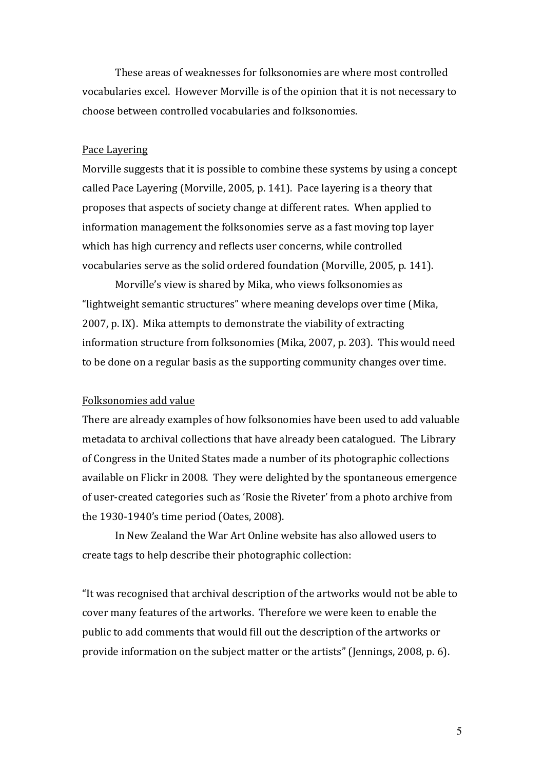These areas of weaknesses for folksonomies are where most controlled vocabularies excel. However Morville is of the opinion that it is not necessary to choose between controlled vocabularies and folksonomies.

#### Pace Layering

Morville suggests that it is possible to combine these systems by using a concept called Pace Layering (Morville, 2005, p. 141). Pace layering is a theory that proposes that aspects of society change at different rates. When applied to information management the folksonomies serve as a fast moving top layer which has high currency and reflects user concerns, while controlled vocabularies serve as the solid ordered foundation (Morville, 2005, p. 141).

Morville's view is shared by Mika, who views folksonomies as "lightweight semantic structures" where meaning develops over time (Mika, 2007, p. IX). Mika attempts to demonstrate the viability of extracting information structure from folksonomies (Mika, 2007, p. 203). This would need to be done on a regular basis as the supporting community changes over time.

#### Folksonomies add value

There are already examples of how folksonomies have been used to add valuable metadata to archival collections that have already been catalogued. The Library of Congress in the United States made a number of its photographic collections available on Flickr in 2008. They were delighted by the spontaneous emergence of user-created categories such as 'Rosie the Riveter' from a photo archive from the 1930-1940's time period (Oates, 2008).

In New Zealand the War Art Online website has also allowed users to create tags to help describe their photographic collection:

"It was recognised that archival description of the artworks would not be able to cover many features of the artworks. Therefore we were keen to enable the public to add comments that would fill out the description of the artworks or provide information on the subject matter or the artists" (Jennings, 2008, p. 6).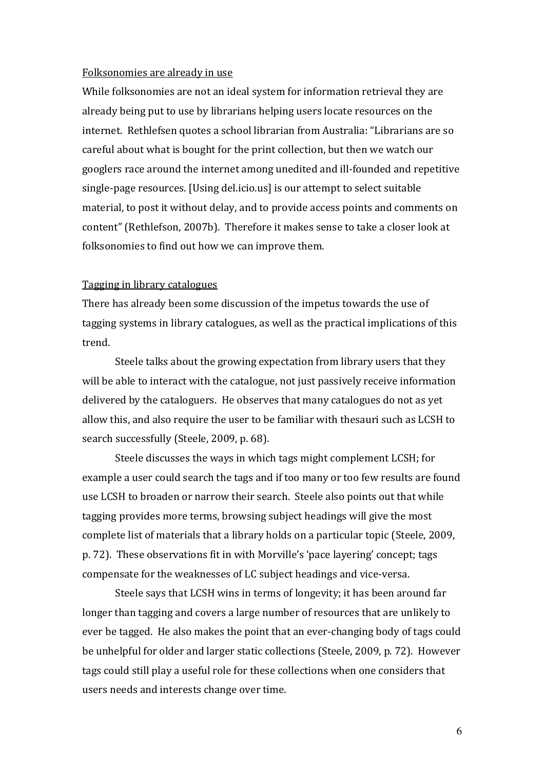#### Folksonomies are already in use

While folksonomies are not an ideal system for information retrieval they are already being put to use by librarians helping users locate resources on the internet. Rethlefsen quotes a school librarian from Australia: "Librarians are so careful about what is bought for the print collection, but then we watch our googlers race around the internet among unedited and ill-founded and repetitive single-page resources. [Using del.icio.us] is our attempt to select suitable material, to post it without delay, and to provide access points and comments on content" (Rethlefson, 2007b). Therefore it makes sense to take a closer look at folksonomies to find out how we can improve them.

#### Tagging in library catalogues

There has already been some discussion of the impetus towards the use of tagging systems in library catalogues, as well as the practical implications of this trend.

Steele talks about the growing expectation from library users that they will be able to interact with the catalogue, not just passively receive information delivered by the cataloguers. He observes that many catalogues do not as yet allow this, and also require the user to be familiar with thesauri such as LCSH to search successfully (Steele, 2009, p. 68).

Steele discusses the ways in which tags might complement LCSH; for example a user could search the tags and if too many or too few results are found use LCSH to broaden or narrow their search. Steele also points out that while tagging provides more terms, browsing subject headings will give the most complete list of materials that a library holds on a particular topic (Steele, 2009, p. 72). These observations fit in with Morville's 'pace layering' concept; tags compensate for the weaknesses of LC subject headings and vice-versa.

Steele says that LCSH wins in terms of longevity; it has been around far longer than tagging and covers a large number of resources that are unlikely to ever be tagged. He also makes the point that an ever-changing body of tags could be unhelpful for older and larger static collections (Steele, 2009, p. 72). However tags could still play a useful role for these collections when one considers that users needs and interests change over time.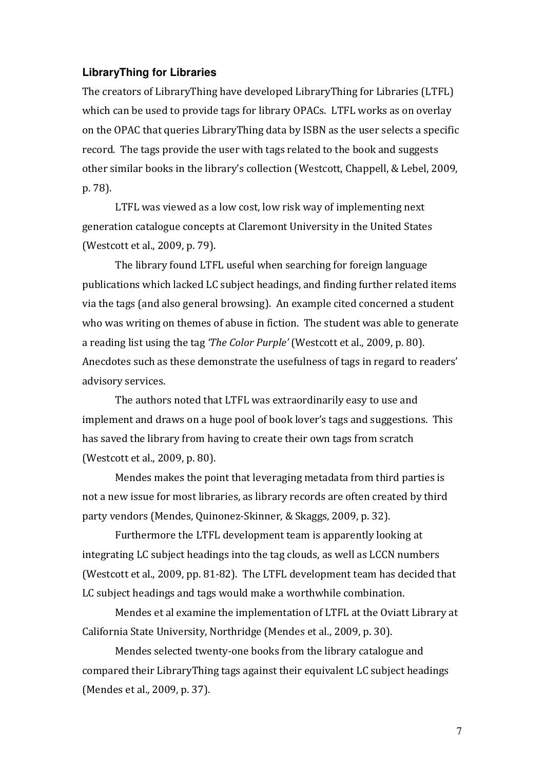## **LibraryThing for Libraries**

The creators of LibraryThing have developed LibraryThing for Libraries (LTFL) which can be used to provide tags for library OPACs. LTFL works as on overlay on the OPAC that queries LibraryThing data by ISBN as the user selects a specific record. The tags provide the user with tags related to the book and suggests other similar books in the library's collection (Westcott, Chappell, & Lebel, 2009, p. 78).

LTFL was viewed as a low cost, low risk way of implementing next generation catalogue concepts at Claremont University in the United States (Westcott et al., 2009, p. 79).

The library found LTFL useful when searching for foreign language publications which lacked LC subject headings, and finding further related items via the tags (and also general browsing). An example cited concerned a student who was writing on themes of abuse in fiction. The student was able to generate a reading list using the tag 'The Color Purple' (Westcott et al., 2009, p. 80). Anecdotes such as these demonstrate the usefulness of tags in regard to readers' advisory services.

The authors noted that LTFL was extraordinarily easy to use and implement and draws on a huge pool of book lover's tags and suggestions. This has saved the library from having to create their own tags from scratch (Westcott et al., 2009, p. 80).

Mendes makes the point that leveraging metadata from third parties is not a new issue for most libraries, as library records are often created by third party vendors (Mendes, Quinonez-Skinner, & Skaggs, 2009, p. 32).

Furthermore the LTFL development team is apparently looking at integrating LC subject headings into the tag clouds, as well as LCCN numbers (Westcott et al., 2009, pp. 81-82). The LTFL development team has decided that LC subject headings and tags would make a worthwhile combination.

Mendes et al examine the implementation of LTFL at the Oviatt Library at California State University, Northridge (Mendes et al., 2009, p. 30).

Mendes selected twenty-one books from the library catalogue and compared their LibraryThing tags against their equivalent LC subject headings (Mendes et al., 2009, p. 37).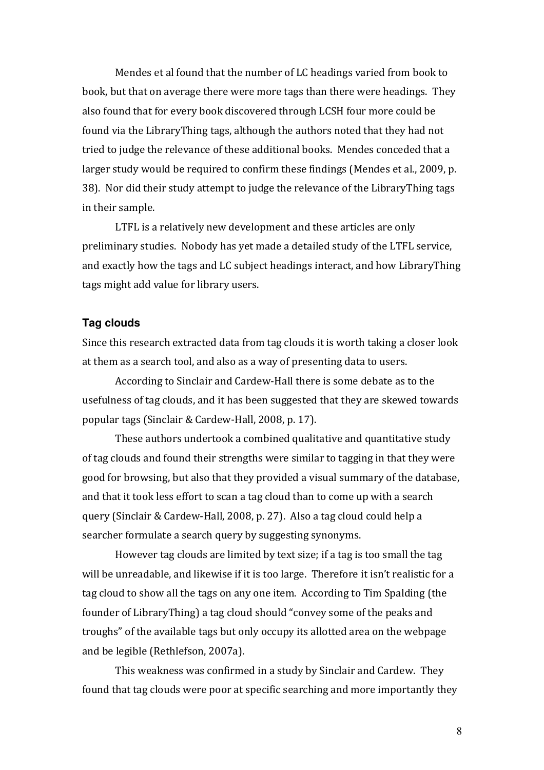Mendes et al found that the number of LC headings varied from book to book, but that on average there were more tags than there were headings. They also found that for every book discovered through LCSH four more could be found via the LibraryThing tags, although the authors noted that they had not tried to judge the relevance of these additional books. Mendes conceded that a larger study would be required to confirm these findings (Mendes et al., 2009, p. 38). Nor did their study attempt to judge the relevance of the LibraryThing tags in their sample.

LTFL is a relatively new development and these articles are only preliminary studies. Nobody has yet made a detailed study of the LTFL service, and exactly how the tags and LC subject headings interact, and how LibraryThing tags might add value for library users.

#### **Tag clouds**

Since this research extracted data from tag clouds it is worth taking a closer look at them as a search tool, and also as a way of presenting data to users.

According to Sinclair and Cardew-Hall there is some debate as to the usefulness of tag clouds, and it has been suggested that they are skewed towards popular tags (Sinclair & Cardew-Hall, 2008, p. 17).

 These authors undertook a combined qualitative and quantitative study of tag clouds and found their strengths were similar to tagging in that they were good for browsing, but also that they provided a visual summary of the database, and that it took less effort to scan a tag cloud than to come up with a search query (Sinclair & Cardew-Hall, 2008, p. 27). Also a tag cloud could help a searcher formulate a search query by suggesting synonyms.

 However tag clouds are limited by text size; if a tag is too small the tag will be unreadable, and likewise if it is too large. Therefore it isn't realistic for a tag cloud to show all the tags on any one item. According to Tim Spalding (the founder of LibraryThing) a tag cloud should "convey some of the peaks and troughs" of the available tags but only occupy its allotted area on the webpage and be legible (Rethlefson, 2007a).

This weakness was confirmed in a study by Sinclair and Cardew. They found that tag clouds were poor at specific searching and more importantly they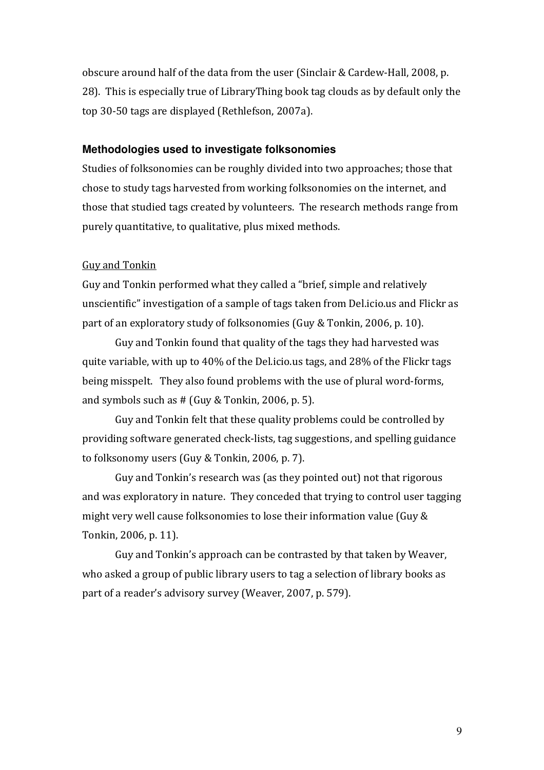obscure around half of the data from the user (Sinclair & Cardew-Hall, 2008, p. 28). This is especially true of LibraryThing book tag clouds as by default only the top 30-50 tags are displayed (Rethlefson, 2007a).

### **Methodologies used to investigate folksonomies**

Studies of folksonomies can be roughly divided into two approaches; those that chose to study tags harvested from working folksonomies on the internet, and those that studied tags created by volunteers. The research methods range from purely quantitative, to qualitative, plus mixed methods.

#### Guy and Tonkin

Guy and Tonkin performed what they called a "brief, simple and relatively unscientific" investigation of a sample of tags taken from Del.icio.us and Flickr as part of an exploratory study of folksonomies (Guy & Tonkin, 2006, p. 10).

 Guy and Tonkin found that quality of the tags they had harvested was quite variable, with up to 40% of the Del.icio.us tags, and 28% of the Flickr tags being misspelt. They also found problems with the use of plural word-forms, and symbols such as # (Guy & Tonkin, 2006, p. 5).

 Guy and Tonkin felt that these quality problems could be controlled by providing software generated check-lists, tag suggestions, and spelling guidance to folksonomy users (Guy & Tonkin, 2006, p. 7).

 Guy and Tonkin's research was (as they pointed out) not that rigorous and was exploratory in nature. They conceded that trying to control user tagging might very well cause folksonomies to lose their information value (Guy & Tonkin, 2006, p. 11).

 Guy and Tonkin's approach can be contrasted by that taken by Weaver, who asked a group of public library users to tag a selection of library books as part of a reader's advisory survey (Weaver, 2007, p. 579).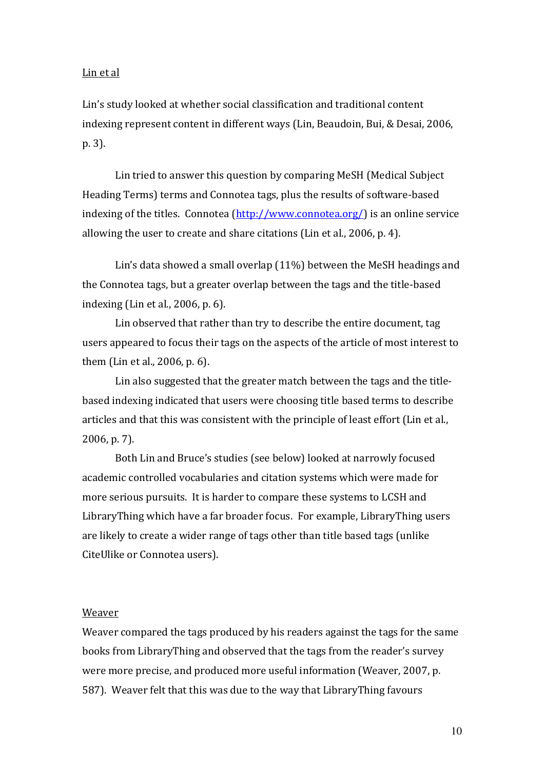#### Lin et al

Lin's study looked at whether social classification and traditional content indexing represent content in different ways (Lin, Beaudoin, Bui, & Desai, 2006, p. 3).

Lin tried to answer this question by comparing MeSH (Medical Subject Heading Terms) terms and Connotea tags, plus the results of software-based indexing of the titles. Connotea (http://www.connotea.org/) is an online service allowing the user to create and share citations (Lin et al., 2006, p. 4).

Lin's data showed a small overlap (11%) between the MeSH headings and the Connotea tags, but a greater overlap between the tags and the title-based indexing (Lin et al., 2006, p. 6).

Lin observed that rather than try to describe the entire document, tag users appeared to focus their tags on the aspects of the article of most interest to them (Lin et al., 2006, p. 6).

Lin also suggested that the greater match between the tags and the titlebased indexing indicated that users were choosing title based terms to describe articles and that this was consistent with the principle of least effort (Lin et al., 2006, p. 7).

Both Lin and Bruce's studies (see below) looked at narrowly focused academic controlled vocabularies and citation systems which were made for more serious pursuits. It is harder to compare these systems to LCSH and LibraryThing which have a far broader focus. For example, LibraryThing users are likely to create a wider range of tags other than title based tags (unlike CiteUlike or Connotea users).

#### Weaver

Weaver compared the tags produced by his readers against the tags for the same books from LibraryThing and observed that the tags from the reader's survey were more precise, and produced more useful information (Weaver, 2007, p. 587). Weaver felt that this was due to the way that LibraryThing favours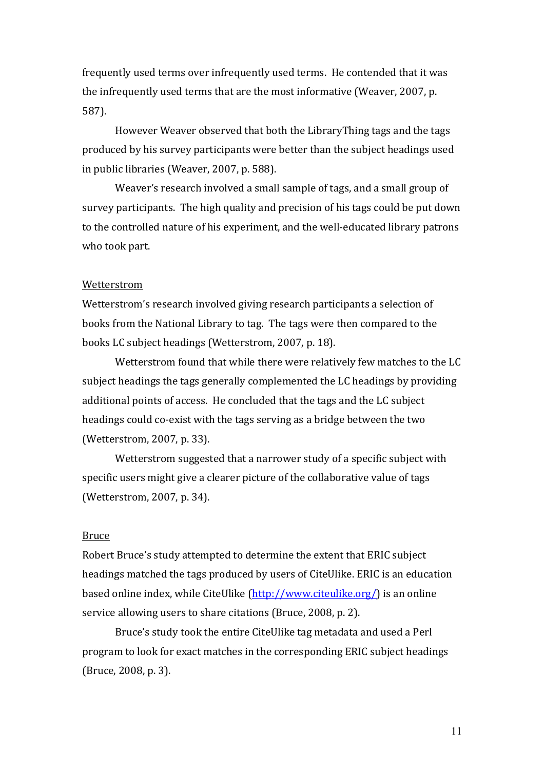frequently used terms over infrequently used terms. He contended that it was the infrequently used terms that are the most informative (Weaver, 2007, p. 587).

However Weaver observed that both the LibraryThing tags and the tags produced by his survey participants were better than the subject headings used in public libraries (Weaver, 2007, p. 588).

Weaver's research involved a small sample of tags, and a small group of survey participants. The high quality and precision of his tags could be put down to the controlled nature of his experiment, and the well-educated library patrons who took part.

#### Wetterstrom

Wetterstrom's research involved giving research participants a selection of books from the National Library to tag. The tags were then compared to the books LC subject headings (Wetterstrom, 2007, p. 18).

 Wetterstrom found that while there were relatively few matches to the LC subject headings the tags generally complemented the LC headings by providing additional points of access. He concluded that the tags and the LC subject headings could co-exist with the tags serving as a bridge between the two (Wetterstrom, 2007, p. 33).

 Wetterstrom suggested that a narrower study of a specific subject with specific users might give a clearer picture of the collaborative value of tags (Wetterstrom, 2007, p. 34).

#### Bruce

Robert Bruce's study attempted to determine the extent that ERIC subject headings matched the tags produced by users of CiteUlike. ERIC is an education based online index, while CiteUlike (http://www.citeulike.org/) is an online service allowing users to share citations (Bruce, 2008, p. 2).

Bruce's study took the entire CiteUlike tag metadata and used a Perl program to look for exact matches in the corresponding ERIC subject headings (Bruce, 2008, p. 3).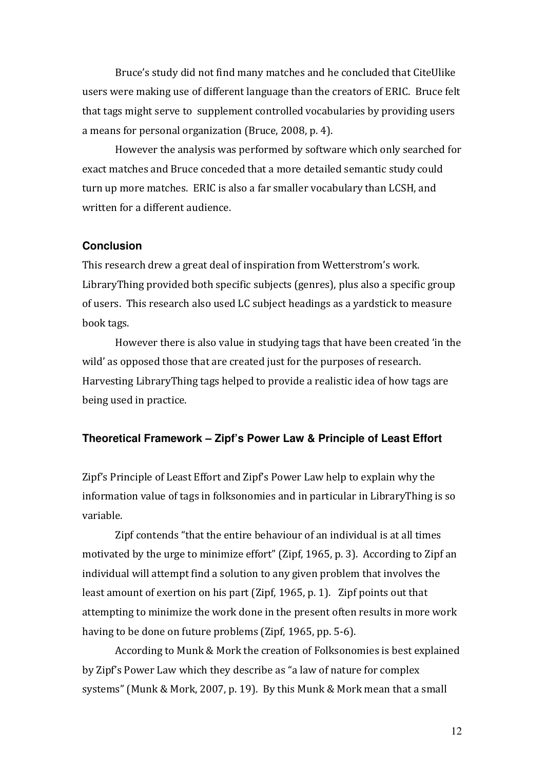Bruce's study did not find many matches and he concluded that CiteUlike users were making use of different language than the creators of ERIC. Bruce felt that tags might serve to supplement controlled vocabularies by providing users a means for personal organization (Bruce, 2008, p. 4).

However the analysis was performed by software which only searched for exact matches and Bruce conceded that a more detailed semantic study could turn up more matches. ERIC is also a far smaller vocabulary than LCSH, and written for a different audience.

### **Conclusion**

This research drew a great deal of inspiration from Wetterstrom's work. LibraryThing provided both specific subjects (genres), plus also a specific group of users. This research also used LC subject headings as a yardstick to measure book tags.

However there is also value in studying tags that have been created 'in the wild' as opposed those that are created just for the purposes of research. Harvesting LibraryThing tags helped to provide a realistic idea of how tags are being used in practice.

### **Theoretical Framework – Zipf's Power Law & Principle of Least Effort**

Zipf's Principle of Least Effort and Zipf's Power Law help to explain why the information value of tags in folksonomies and in particular in LibraryThing is so variable.

Zipf contends "that the entire behaviour of an individual is at all times motivated by the urge to minimize effort" (Zipf, 1965, p. 3). According to Zipf an individual will attempt find a solution to any given problem that involves the least amount of exertion on his part (Zipf, 1965, p. 1). Zipf points out that attempting to minimize the work done in the present often results in more work having to be done on future problems (Zipf, 1965, pp. 5-6).

According to Munk & Mork the creation of Folksonomies is best explained by Zipf's Power Law which they describe as "a law of nature for complex systems" (Munk & Mork, 2007, p. 19). By this Munk & Mork mean that a small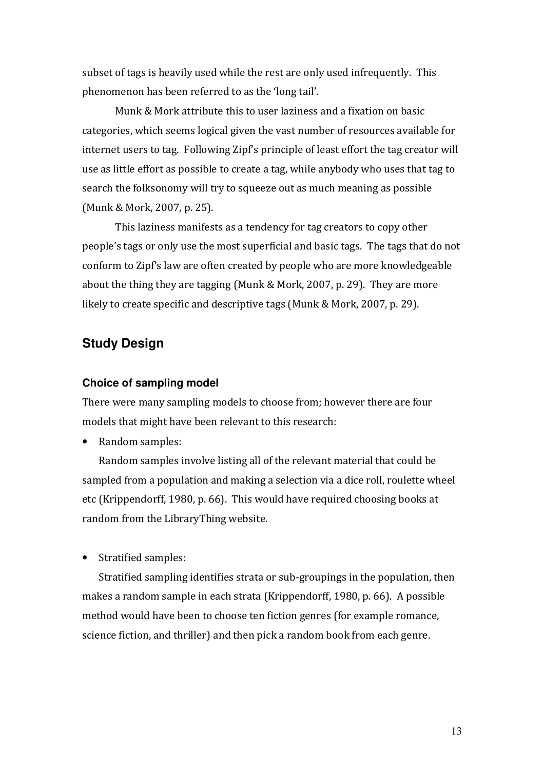subset of tags is heavily used while the rest are only used infrequently. This phenomenon has been referred to as the 'long tail'.

 Munk & Mork attribute this to user laziness and a fixation on basic categories, which seems logical given the vast number of resources available for internet users to tag. Following Zipf's principle of least effort the tag creator will use as little effort as possible to create a tag, while anybody who uses that tag to search the folksonomy will try to squeeze out as much meaning as possible (Munk & Mork, 2007, p. 25).

This laziness manifests as a tendency for tag creators to copy other people's tags or only use the most superficial and basic tags. The tags that do not conform to Zipf's law are often created by people who are more knowledgeable about the thing they are tagging (Munk & Mork, 2007, p. 29). They are more likely to create specific and descriptive tags (Munk & Mork, 2007, p. 29).

# **Study Design**

#### **Choice of sampling model**

There were many sampling models to choose from; however there are four models that might have been relevant to this research:

• Random samples:

Random samples involve listing all of the relevant material that could be sampled from a population and making a selection via a dice roll, roulette wheel etc (Krippendorff, 1980, p. 66). This would have required choosing books at random from the LibraryThing website.

• Stratified samples:

Stratified sampling identifies strata or sub-groupings in the population, then makes a random sample in each strata (Krippendorff, 1980, p. 66). A possible method would have been to choose ten fiction genres (for example romance, science fiction, and thriller) and then pick a random book from each genre.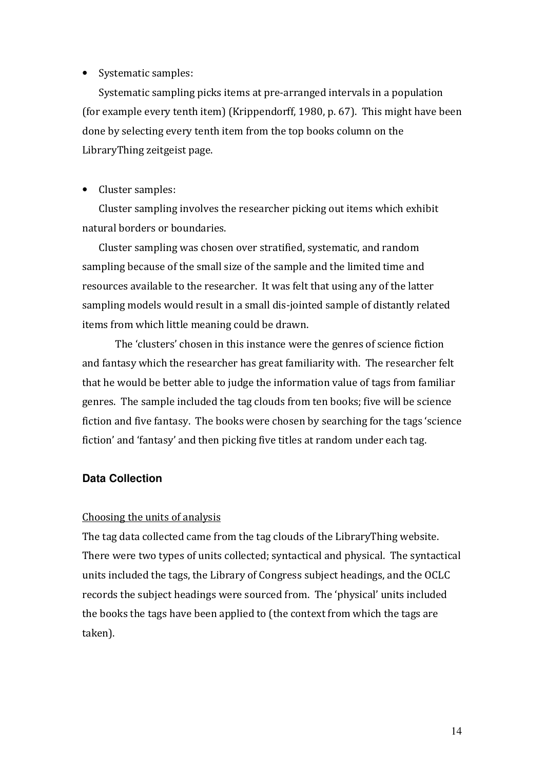## • Systematic samples:

Systematic sampling picks items at pre-arranged intervals in a population (for example every tenth item) (Krippendorff, 1980, p. 67). This might have been done by selecting every tenth item from the top books column on the LibraryThing zeitgeist page.

### • Cluster samples:

Cluster sampling involves the researcher picking out items which exhibit natural borders or boundaries.

Cluster sampling was chosen over stratified, systematic, and random sampling because of the small size of the sample and the limited time and resources available to the researcher. It was felt that using any of the latter sampling models would result in a small dis-jointed sample of distantly related items from which little meaning could be drawn.

The 'clusters' chosen in this instance were the genres of science fiction and fantasy which the researcher has great familiarity with. The researcher felt that he would be better able to judge the information value of tags from familiar genres. The sample included the tag clouds from ten books; five will be science fiction and five fantasy. The books were chosen by searching for the tags 'science fiction' and 'fantasy' and then picking five titles at random under each tag.

## **Data Collection**

## Choosing the units of analysis

The tag data collected came from the tag clouds of the LibraryThing website. There were two types of units collected; syntactical and physical. The syntactical units included the tags, the Library of Congress subject headings, and the OCLC records the subject headings were sourced from. The 'physical' units included the books the tags have been applied to (the context from which the tags are taken).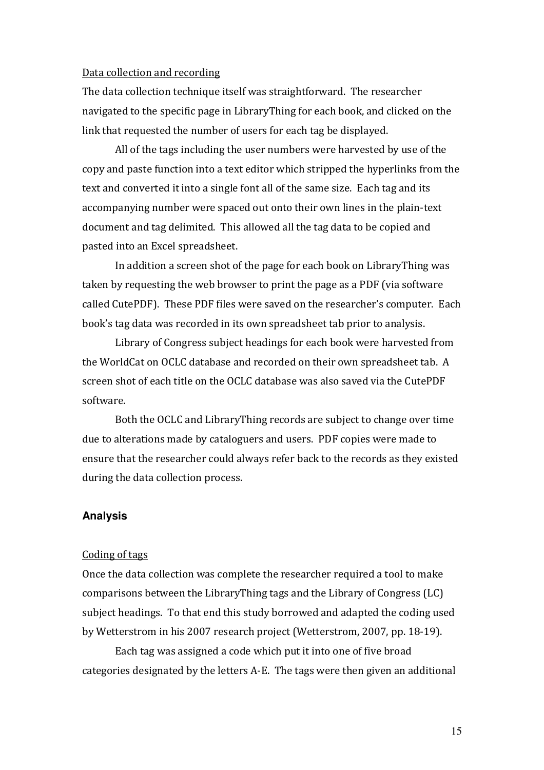#### Data collection and recording

The data collection technique itself was straightforward. The researcher navigated to the specific page in LibraryThing for each book, and clicked on the link that requested the number of users for each tag be displayed.

All of the tags including the user numbers were harvested by use of the copy and paste function into a text editor which stripped the hyperlinks from the text and converted it into a single font all of the same size. Each tag and its accompanying number were spaced out onto their own lines in the plain-text document and tag delimited. This allowed all the tag data to be copied and pasted into an Excel spreadsheet.

In addition a screen shot of the page for each book on LibraryThing was taken by requesting the web browser to print the page as a PDF (via software called CutePDF). These PDF files were saved on the researcher's computer. Each book's tag data was recorded in its own spreadsheet tab prior to analysis.

 Library of Congress subject headings for each book were harvested from the WorldCat on OCLC database and recorded on their own spreadsheet tab. A screen shot of each title on the OCLC database was also saved via the CutePDF software.

 Both the OCLC and LibraryThing records are subject to change over time due to alterations made by cataloguers and users. PDF copies were made to ensure that the researcher could always refer back to the records as they existed during the data collection process.

### **Analysis**

#### Coding of tags

Once the data collection was complete the researcher required a tool to make comparisons between the LibraryThing tags and the Library of Congress (LC) subject headings. To that end this study borrowed and adapted the coding used by Wetterstrom in his 2007 research project (Wetterstrom, 2007, pp. 18-19).

 Each tag was assigned a code which put it into one of five broad categories designated by the letters A-E. The tags were then given an additional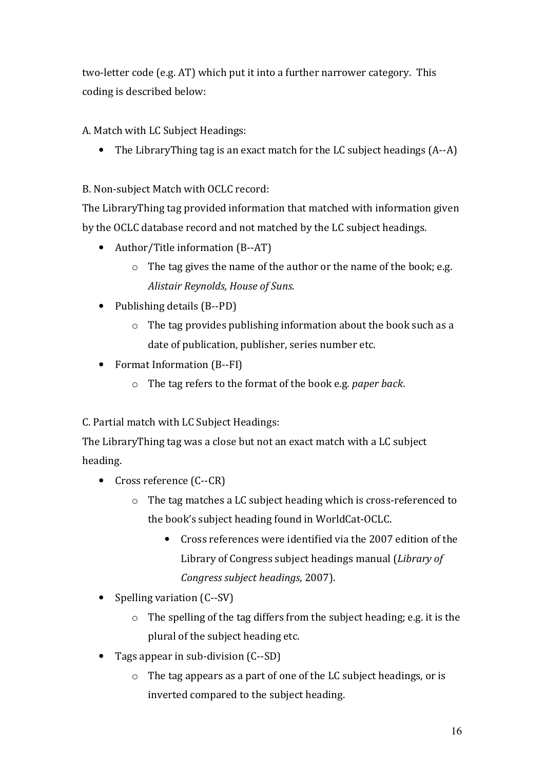two-letter code (e.g. AT) which put it into a further narrower category. This coding is described below:

A. Match with LC Subject Headings:

• The LibraryThing tag is an exact match for the LC subject headings (A--A)

B. Non-subject Match with OCLC record:

The LibraryThing tag provided information that matched with information given by the OCLC database record and not matched by the LC subject headings.

- Author/Title information (B--AT)
	- $\circ$  The tag gives the name of the author or the name of the book; e.g. Alistair Reynolds, House of Suns.
- Publishing details (B--PD)
	- o The tag provides publishing information about the book such as a date of publication, publisher, series number etc.
- Format Information (B--FI)
	- $\circ$  The tag refers to the format of the book e.g. paper back.

C. Partial match with LC Subject Headings:

The LibraryThing tag was a close but not an exact match with a LC subject heading.

- Cross reference (C--CR)
	- o The tag matches a LC subject heading which is cross-referenced to the book's subject heading found in WorldCat-OCLC.
		- Cross references were identified via the 2007 edition of the Library of Congress subject headings manual (Library of Congress subject headings, 2007).
- Spelling variation (C--SV)
	- o The spelling of the tag differs from the subject heading; e.g. it is the plural of the subject heading etc.
- Tags appear in sub-division (C--SD)
	- o The tag appears as a part of one of the LC subject headings, or is inverted compared to the subject heading.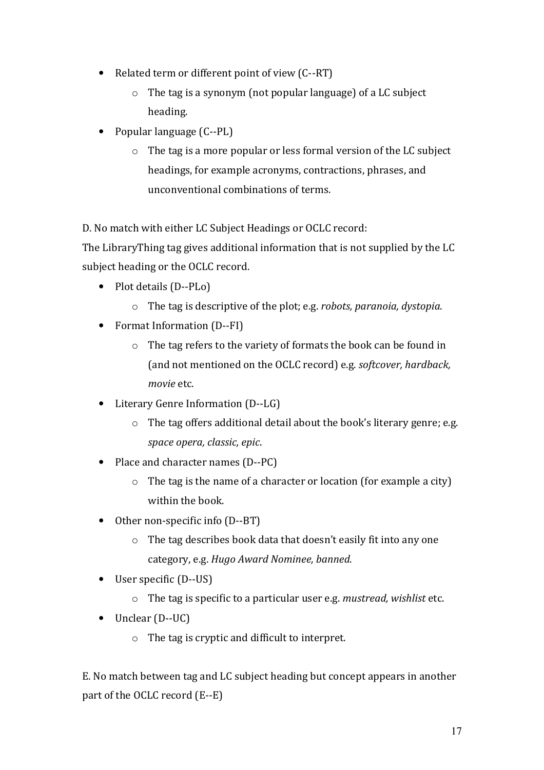- Related term or different point of view (C--RT)
	- o The tag is a synonym (not popular language) of a LC subject heading.
- Popular language (C--PL)
	- o The tag is a more popular or less formal version of the LC subject headings, for example acronyms, contractions, phrases, and unconventional combinations of terms.

D. No match with either LC Subject Headings or OCLC record:

The LibraryThing tag gives additional information that is not supplied by the LC subject heading or the OCLC record.

- Plot details (D--PLo)
	- o The tag is descriptive of the plot; e.g. robots, paranoia, dystopia.
- Format Information (D--FI)
	- o The tag refers to the variety of formats the book can be found in (and not mentioned on the OCLC record) e.g. softcover, hardback, movie etc.
- Literary Genre Information (D--LG)
	- o The tag offers additional detail about the book's literary genre; e.g. space opera, classic, epic.
- Place and character names (D--PC)
	- $\circ$  The tag is the name of a character or location (for example a city) within the book.
- Other non-specific info (D--BT)
	- o The tag describes book data that doesn't easily fit into any one category, e.g. Hugo Award Nominee, banned.
- User specific (D--US)
	- o The tag is specific to a particular user e.g. mustread, wishlist etc.
- Unclear (D--UC)
	- o The tag is cryptic and difficult to interpret.

E. No match between tag and LC subject heading but concept appears in another part of the OCLC record (E--E)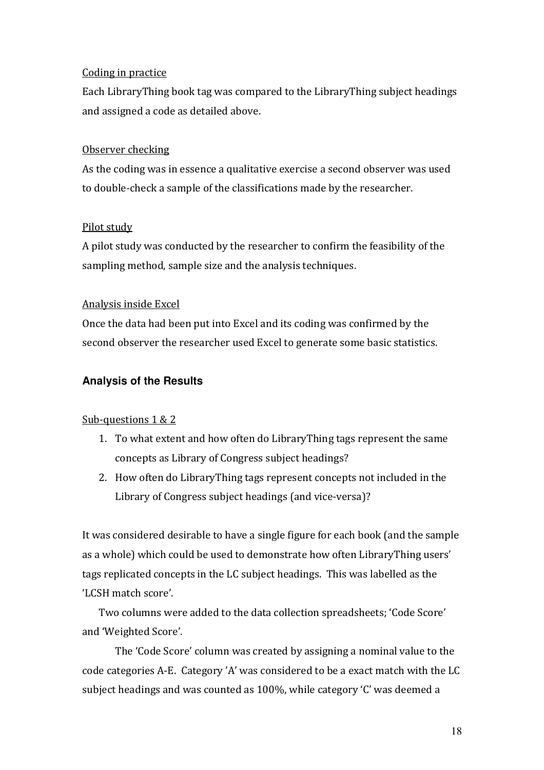## Coding in practice

Each LibraryThing book tag was compared to the LibraryThing subject headings and assigned a code as detailed above.

## Observer checking

As the coding was in essence a qualitative exercise a second observer was used to double-check a sample of the classifications made by the researcher.

## Pilot study

A pilot study was conducted by the researcher to confirm the feasibility of the sampling method, sample size and the analysis techniques.

## Analysis inside Excel

Once the data had been put into Excel and its coding was confirmed by the second observer the researcher used Excel to generate some basic statistics.

## **Analysis of the Results**

## Sub-questions 1 & 2

- 1. To what extent and how often do LibraryThing tags represent the same concepts as Library of Congress subject headings?
- 2. How often do LibraryThing tags represent concepts not included in the Library of Congress subject headings (and vice-versa)?

It was considered desirable to have a single figure for each book (and the sample as a whole) which could be used to demonstrate how often LibraryThing users' tags replicated concepts in the LC subject headings. This was labelled as the 'LCSH match score'.

Two columns were added to the data collection spreadsheets; 'Code Score' and 'Weighted Score'.

The 'Code Score' column was created by assigning a nominal value to the code categories A-E. Category 'A' was considered to be a exact match with the LC subject headings and was counted as 100%, while category 'C' was deemed a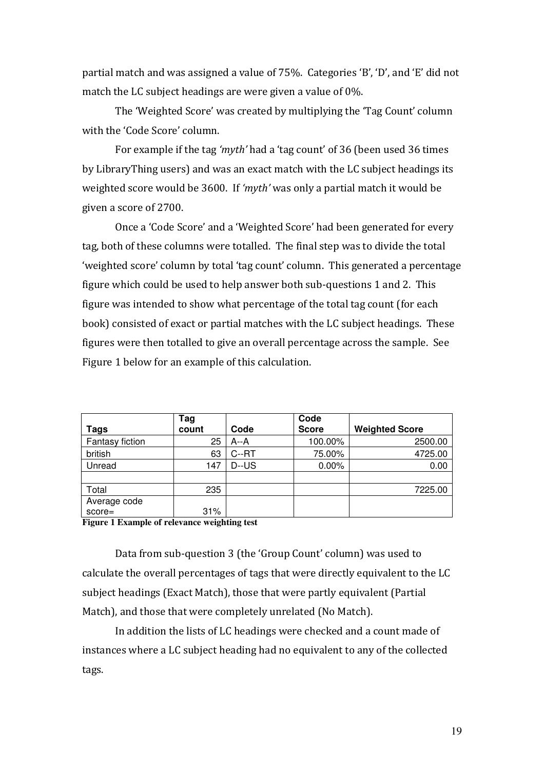partial match and was assigned a value of 75%. Categories 'B', 'D', and 'E' did not match the LC subject headings are were given a value of 0%.

The 'Weighted Score' was created by multiplying the 'Tag Count' column with the 'Code Score' column.

For example if the tag 'myth' had a 'tag count' of 36 (been used 36 times by LibraryThing users) and was an exact match with the LC subject headings its weighted score would be 3600. If 'myth' was only a partial match it would be given a score of 2700.

Once a 'Code Score' and a 'Weighted Score' had been generated for every tag, both of these columns were totalled. The final step was to divide the total 'weighted score' column by total 'tag count' column. This generated a percentage figure which could be used to help answer both sub-questions 1 and 2. This figure was intended to show what percentage of the total tag count (for each book) consisted of exact or partial matches with the LC subject headings. These figures were then totalled to give an overall percentage across the sample. See Figure 1 below for an example of this calculation.

|                 | Tag   |          | Code         |                       |
|-----------------|-------|----------|--------------|-----------------------|
| Tags            | count | Code     | <b>Score</b> | <b>Weighted Score</b> |
| Fantasy fiction | 25    | $A - A$  | 100.00%      | 2500.00               |
| british         | 63    | C--RT    | 75.00%       | 4725.00               |
| Unread          | 147   | $D$ --US | 0.00%        | 0.00                  |
|                 |       |          |              |                       |
| Total           | 235   |          |              | 7225.00               |
| Average code    |       |          |              |                       |
| $score=$        | 31%   |          |              |                       |

**Figure 1 Example of relevance weighting test**

Data from sub-question 3 (the 'Group Count' column) was used to calculate the overall percentages of tags that were directly equivalent to the LC subject headings (Exact Match), those that were partly equivalent (Partial Match), and those that were completely unrelated (No Match).

In addition the lists of LC headings were checked and a count made of instances where a LC subject heading had no equivalent to any of the collected tags.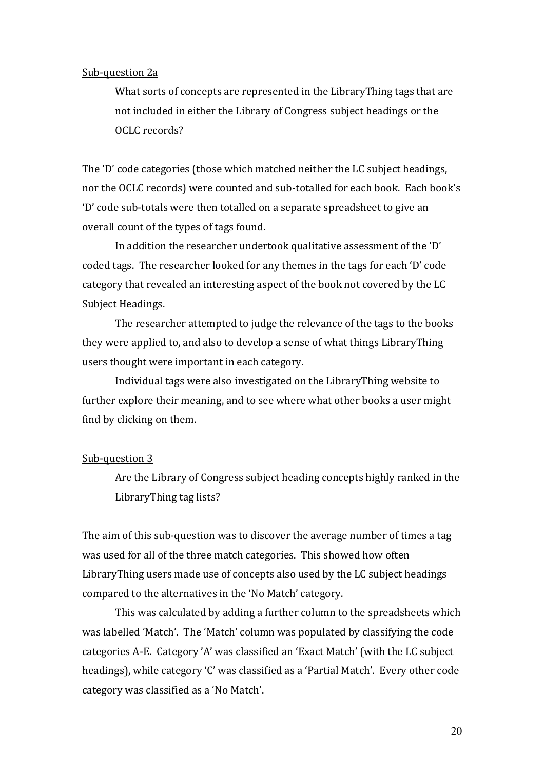#### Sub-question 2a

What sorts of concepts are represented in the LibraryThing tags that are not included in either the Library of Congress subject headings or the OCLC records?

The 'D' code categories (those which matched neither the LC subject headings, nor the OCLC records) were counted and sub-totalled for each book. Each book's 'D' code sub-totals were then totalled on a separate spreadsheet to give an overall count of the types of tags found.

 In addition the researcher undertook qualitative assessment of the 'D' coded tags. The researcher looked for any themes in the tags for each 'D' code category that revealed an interesting aspect of the book not covered by the LC Subject Headings.

The researcher attempted to judge the relevance of the tags to the books they were applied to, and also to develop a sense of what things LibraryThing users thought were important in each category.

 Individual tags were also investigated on the LibraryThing website to further explore their meaning, and to see where what other books a user might find by clicking on them.

### Sub-question 3

Are the Library of Congress subject heading concepts highly ranked in the LibraryThing tag lists?

The aim of this sub-question was to discover the average number of times a tag was used for all of the three match categories. This showed how often LibraryThing users made use of concepts also used by the LC subject headings compared to the alternatives in the 'No Match' category.

This was calculated by adding a further column to the spreadsheets which was labelled 'Match'. The 'Match' column was populated by classifying the code categories A-E. Category 'A' was classified an 'Exact Match' (with the LC subject headings), while category 'C' was classified as a 'Partial Match'. Every other code category was classified as a 'No Match'.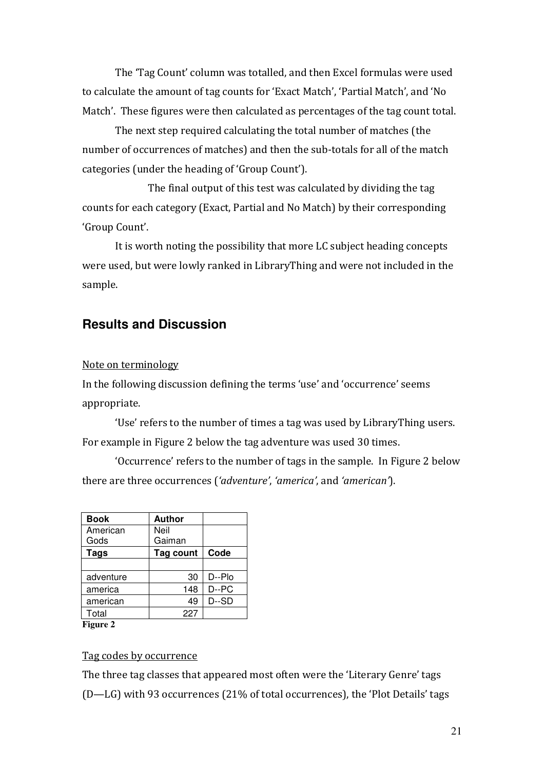The 'Tag Count' column was totalled, and then Excel formulas were used to calculate the amount of tag counts for 'Exact Match', 'Partial Match', and 'No Match'. These figures were then calculated as percentages of the tag count total.

 The next step required calculating the total number of matches (the number of occurrences of matches) and then the sub-totals for all of the match categories (under the heading of 'Group Count').

 The final output of this test was calculated by dividing the tag counts for each category (Exact, Partial and No Match) by their corresponding 'Group Count'.

It is worth noting the possibility that more LC subject heading concepts were used, but were lowly ranked in LibraryThing and were not included in the sample.

# **Results and Discussion**

### Note on terminology

In the following discussion defining the terms 'use' and 'occurrence' seems appropriate.

'Use' refers to the number of times a tag was used by LibraryThing users. For example in Figure 2 below the tag adventure was used 30 times.

'Occurrence' refers to the number of tags in the sample. In Figure 2 below there are three occurrences ('adventure', 'america', and 'american').

| <b>Book</b>     | <b>Author</b> |        |  |
|-----------------|---------------|--------|--|
| American        | Neil          |        |  |
| Gods            | Gaiman        |        |  |
| <b>Tags</b>     | Tag count     | Code   |  |
|                 |               |        |  |
| adventure       | 30            | D--Plo |  |
| america         | 148           | D--PC  |  |
| american        | 49            | D--SD  |  |
| Total           | 227           |        |  |
| <b>Figure 2</b> |               |        |  |

## Tag codes by occurrence

The three tag classes that appeared most often were the 'Literary Genre' tags (D—LG) with 93 occurrences (21% of total occurrences), the 'Plot Details' tags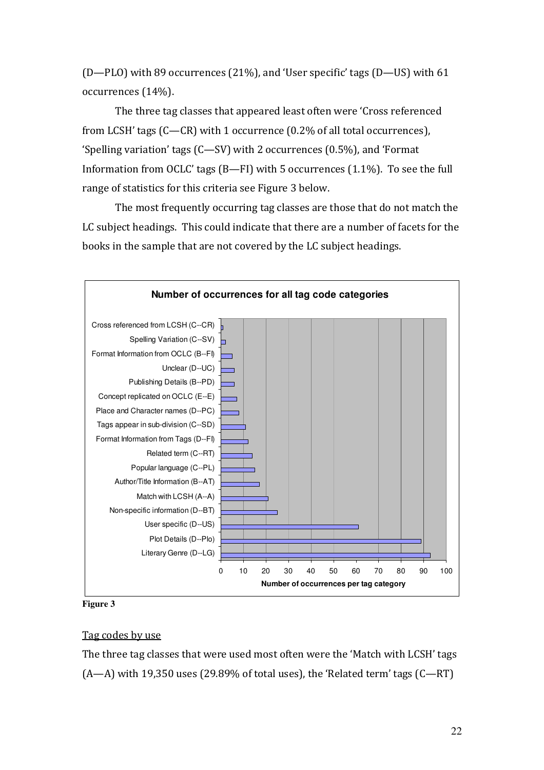(D—PLO) with 89 occurrences (21%), and 'User specific' tags (D—US) with 61 occurrences (14%).

 The three tag classes that appeared least often were 'Cross referenced from LCSH' tags (C—CR) with 1 occurrence (0.2% of all total occurrences), 'Spelling variation' tags (C—SV) with 2 occurrences (0.5%), and 'Format Information from OCLC' tags (B—FI) with 5 occurrences (1.1%). To see the full range of statistics for this criteria see Figure 3 below.

 The most frequently occurring tag classes are those that do not match the LC subject headings. This could indicate that there are a number of facets for the books in the sample that are not covered by the LC subject headings.



**Figure 3**

## Tag codes by use

The three tag classes that were used most often were the 'Match with LCSH' tags  $(A-A)$  with 19,350 uses (29.89% of total uses), the 'Related term' tags  $(C-RT)$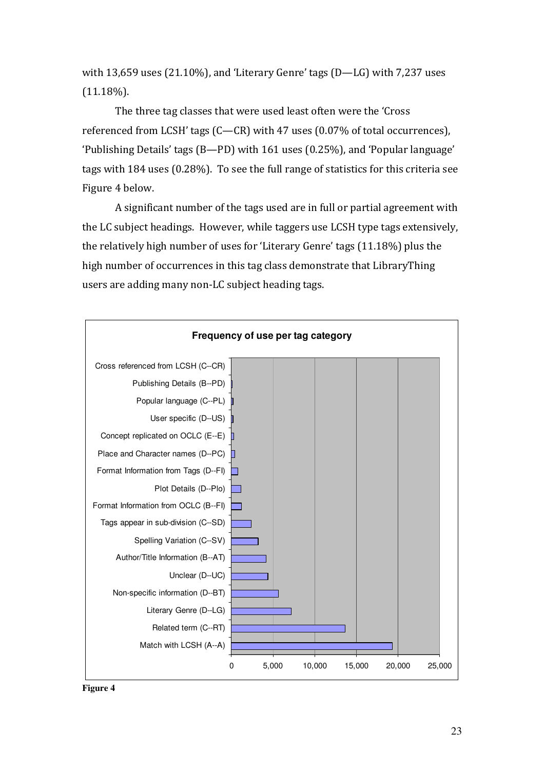with 13,659 uses (21.10%), and 'Literary Genre' tags (D—LG) with 7,237 uses  $(11.18\%)$ .

 The three tag classes that were used least often were the 'Cross referenced from LCSH' tags (C—CR) with 47 uses (0.07% of total occurrences), 'Publishing Details' tags (B—PD) with 161 uses (0.25%), and 'Popular language' tags with 184 uses (0.28%). To see the full range of statistics for this criteria see Figure 4 below.

 A significant number of the tags used are in full or partial agreement with the LC subject headings. However, while taggers use LCSH type tags extensively, the relatively high number of uses for 'Literary Genre' tags (11.18%) plus the high number of occurrences in this tag class demonstrate that LibraryThing users are adding many non-LC subject heading tags.



**Figure 4**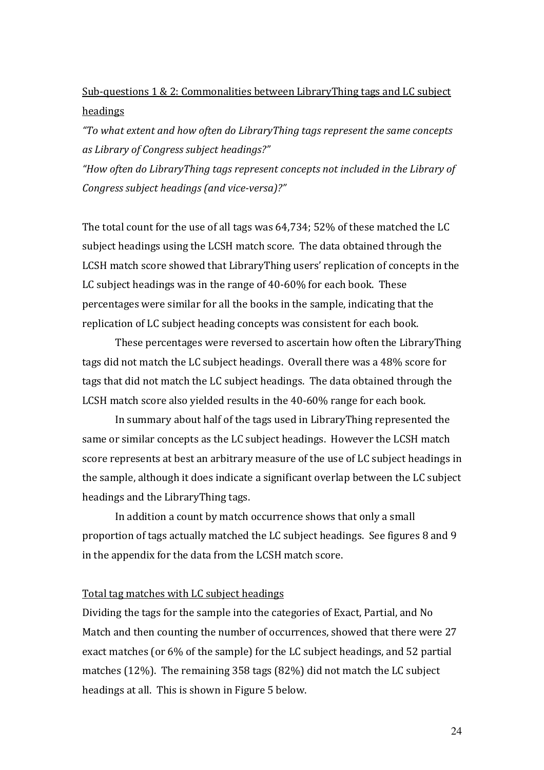# Sub-questions 1 & 2: Commonalities between LibraryThing tags and LC subject headings

"To what extent and how often do LibraryThing tags represent the same concepts as Library of Congress subject headings?"

"How often do LibraryThing tags represent concepts not included in the Library of Congress subject headings (and vice-versa)?"

The total count for the use of all tags was 64,734; 52% of these matched the LC subject headings using the LCSH match score. The data obtained through the LCSH match score showed that LibraryThing users' replication of concepts in the LC subject headings was in the range of 40-60% for each book. These percentages were similar for all the books in the sample, indicating that the replication of LC subject heading concepts was consistent for each book.

These percentages were reversed to ascertain how often the LibraryThing tags did not match the LC subject headings. Overall there was a 48% score for tags that did not match the LC subject headings. The data obtained through the LCSH match score also yielded results in the 40-60% range for each book.

In summary about half of the tags used in LibraryThing represented the same or similar concepts as the LC subject headings. However the LCSH match score represents at best an arbitrary measure of the use of LC subject headings in the sample, although it does indicate a significant overlap between the LC subject headings and the LibraryThing tags.

In addition a count by match occurrence shows that only a small proportion of tags actually matched the LC subject headings. See figures 8 and 9 in the appendix for the data from the LCSH match score.

#### Total tag matches with LC subject headings

Dividing the tags for the sample into the categories of Exact, Partial, and No Match and then counting the number of occurrences, showed that there were 27 exact matches (or 6% of the sample) for the LC subject headings, and 52 partial matches (12%). The remaining 358 tags (82%) did not match the LC subject headings at all. This is shown in Figure 5 below.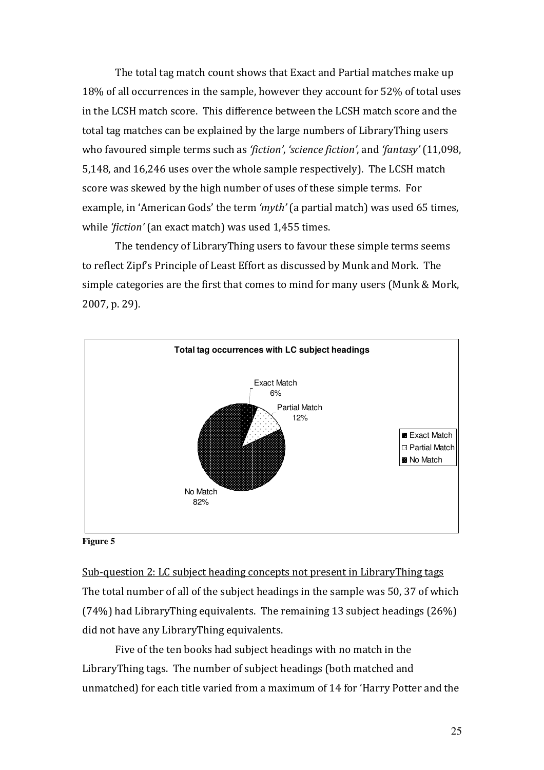The total tag match count shows that Exact and Partial matches make up 18% of all occurrences in the sample, however they account for 52% of total uses in the LCSH match score. This difference between the LCSH match score and the total tag matches can be explained by the large numbers of LibraryThing users who favoured simple terms such as 'fiction', 'science fiction', and 'fantasy' (11,098, 5,148, and 16,246 uses over the whole sample respectively). The LCSH match score was skewed by the high number of uses of these simple terms. For example, in 'American Gods' the term 'myth' (a partial match) was used 65 times, while 'fiction' (an exact match) was used 1,455 times.

The tendency of LibraryThing users to favour these simple terms seems to reflect Zipf's Principle of Least Effort as discussed by Munk and Mork. The simple categories are the first that comes to mind for many users (Munk & Mork, 2007, p. 29).



#### **Figure 5**

Sub-question 2: LC subject heading concepts not present in LibraryThing tags The total number of all of the subject headings in the sample was 50, 37 of which (74%) had LibraryThing equivalents. The remaining 13 subject headings (26%) did not have any LibraryThing equivalents.

Five of the ten books had subject headings with no match in the LibraryThing tags. The number of subject headings (both matched and unmatched) for each title varied from a maximum of 14 for 'Harry Potter and the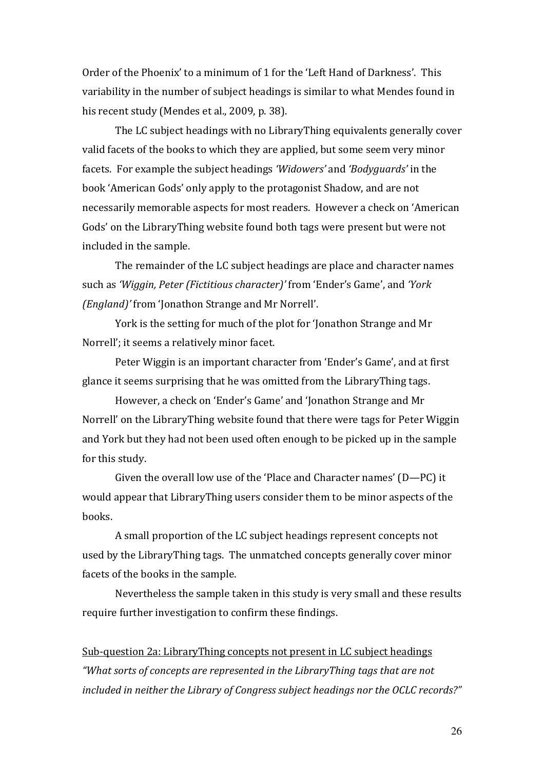Order of the Phoenix' to a minimum of 1 for the 'Left Hand of Darkness'. This variability in the number of subject headings is similar to what Mendes found in his recent study (Mendes et al., 2009, p. 38).

 The LC subject headings with no LibraryThing equivalents generally cover valid facets of the books to which they are applied, but some seem very minor facets. For example the subject headings 'Widowers' and 'Bodyguards' in the book 'American Gods' only apply to the protagonist Shadow, and are not necessarily memorable aspects for most readers. However a check on 'American Gods' on the LibraryThing website found both tags were present but were not included in the sample.

 The remainder of the LC subject headings are place and character names such as 'Wiggin, Peter (Fictitious character)' from 'Ender's Game', and 'York (England)' from 'Jonathon Strange and Mr Norrell'.

York is the setting for much of the plot for 'Jonathon Strange and Mr Norrell'; it seems a relatively minor facet.

Peter Wiggin is an important character from 'Ender's Game', and at first glance it seems surprising that he was omitted from the LibraryThing tags.

However, a check on 'Ender's Game' and 'Jonathon Strange and Mr Norrell' on the LibraryThing website found that there were tags for Peter Wiggin and York but they had not been used often enough to be picked up in the sample for this study.

Given the overall low use of the 'Place and Character names' (D—PC) it would appear that LibraryThing users consider them to be minor aspects of the books.

A small proportion of the LC subject headings represent concepts not used by the LibraryThing tags. The unmatched concepts generally cover minor facets of the books in the sample.

Nevertheless the sample taken in this study is very small and these results require further investigation to confirm these findings.

# Sub-question 2a: LibraryThing concepts not present in LC subject headings "What sorts of concepts are represented in the LibraryThing tags that are not included in neither the Library of Congress subject headings nor the OCLC records?"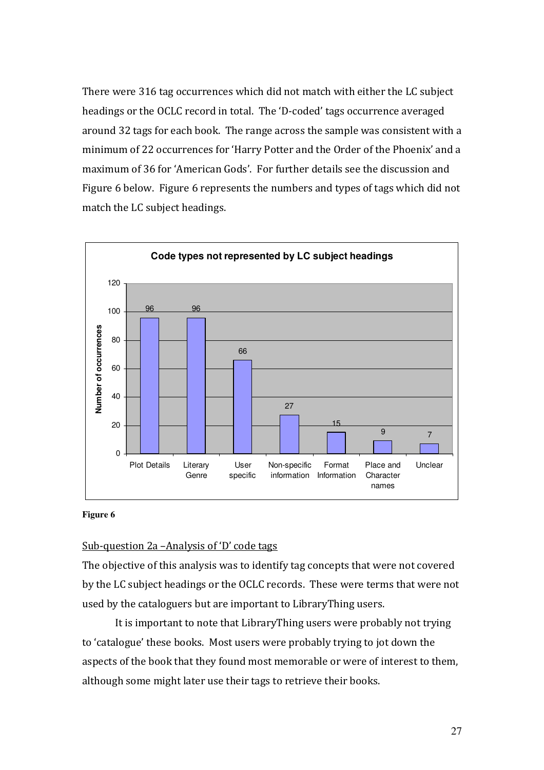There were 316 tag occurrences which did not match with either the LC subject headings or the OCLC record in total. The 'D-coded' tags occurrence averaged around 32 tags for each book. The range across the sample was consistent with a minimum of 22 occurrences for 'Harry Potter and the Order of the Phoenix' and a maximum of 36 for 'American Gods'. For further details see the discussion and Figure 6 below. Figure 6 represents the numbers and types of tags which did not match the LC subject headings.



#### **Figure 6**

## Sub-question 2a –Analysis of 'D' code tags

The objective of this analysis was to identify tag concepts that were not covered by the LC subject headings or the OCLC records. These were terms that were not used by the cataloguers but are important to LibraryThing users.

 It is important to note that LibraryThing users were probably not trying to 'catalogue' these books. Most users were probably trying to jot down the aspects of the book that they found most memorable or were of interest to them, although some might later use their tags to retrieve their books.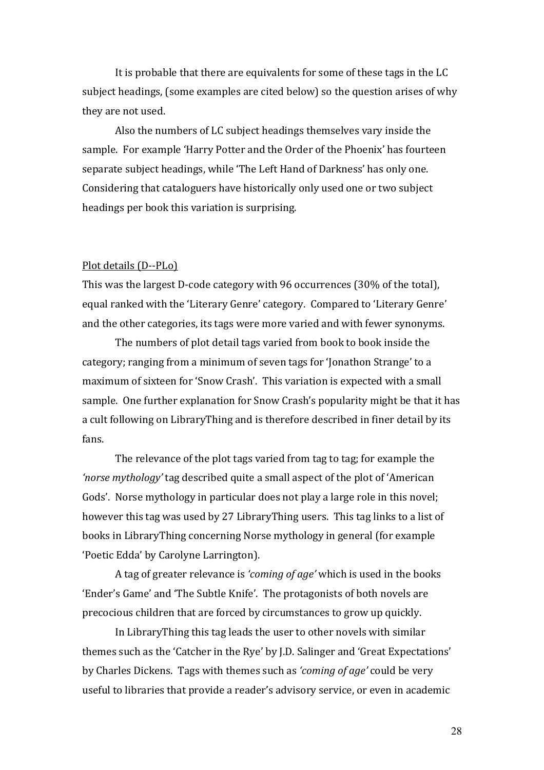It is probable that there are equivalents for some of these tags in the LC subject headings, (some examples are cited below) so the question arises of why they are not used.

Also the numbers of LC subject headings themselves vary inside the sample. For example 'Harry Potter and the Order of the Phoenix' has fourteen separate subject headings, while 'The Left Hand of Darkness' has only one. Considering that cataloguers have historically only used one or two subject headings per book this variation is surprising.

#### Plot details (D--PLo)

This was the largest D-code category with 96 occurrences (30% of the total), equal ranked with the 'Literary Genre' category. Compared to 'Literary Genre' and the other categories, its tags were more varied and with fewer synonyms.

 The numbers of plot detail tags varied from book to book inside the category; ranging from a minimum of seven tags for 'Jonathon Strange' to a maximum of sixteen for 'Snow Crash'. This variation is expected with a small sample. One further explanation for Snow Crash's popularity might be that it has a cult following on LibraryThing and is therefore described in finer detail by its fans.

The relevance of the plot tags varied from tag to tag; for example the 'norse mythology' tag described quite a small aspect of the plot of 'American Gods'. Norse mythology in particular does not play a large role in this novel; however this tag was used by 27 LibraryThing users. This tag links to a list of books in LibraryThing concerning Norse mythology in general (for example 'Poetic Edda' by Carolyne Larrington).

 A tag of greater relevance is 'coming of age' which is used in the books 'Ender's Game' and 'The Subtle Knife'. The protagonists of both novels are precocious children that are forced by circumstances to grow up quickly.

In LibraryThing this tag leads the user to other novels with similar themes such as the 'Catcher in the Rye' by J.D. Salinger and 'Great Expectations' by Charles Dickens. Tags with themes such as 'coming of age' could be very useful to libraries that provide a reader's advisory service, or even in academic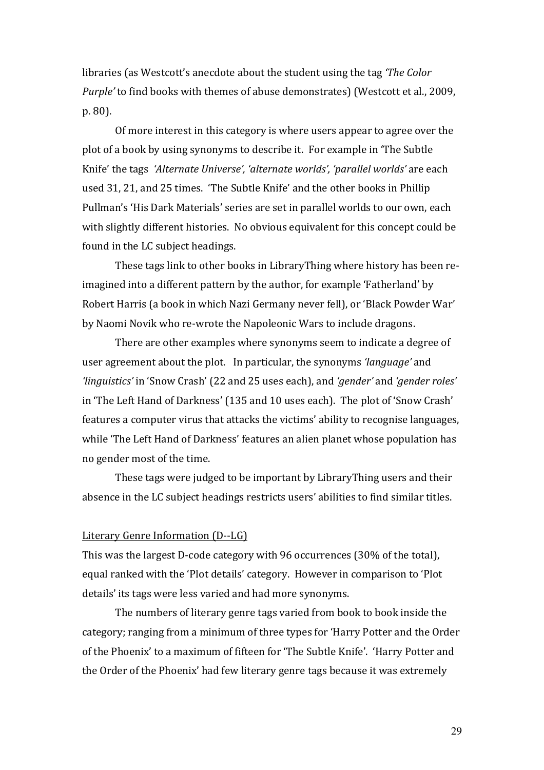libraries (as Westcott's anecdote about the student using the tag 'The Color Purple' to find books with themes of abuse demonstrates) (Westcott et al., 2009, p. 80).

Of more interest in this category is where users appear to agree over the plot of a book by using synonyms to describe it. For example in 'The Subtle Knife' the tags 'Alternate Universe', 'alternate worlds', 'parallel worlds' are each used 31, 21, and 25 times. 'The Subtle Knife' and the other books in Phillip Pullman's 'His Dark Materials' series are set in parallel worlds to our own, each with slightly different histories. No obvious equivalent for this concept could be found in the LC subject headings.

These tags link to other books in LibraryThing where history has been reimagined into a different pattern by the author, for example 'Fatherland' by Robert Harris (a book in which Nazi Germany never fell), or 'Black Powder War' by Naomi Novik who re-wrote the Napoleonic Wars to include dragons.

There are other examples where synonyms seem to indicate a degree of user agreement about the plot. In particular, the synonyms 'language' and 'linguistics' in 'Snow Crash' (22 and 25 uses each), and 'gender' and 'gender roles' in 'The Left Hand of Darkness' (135 and 10 uses each). The plot of 'Snow Crash' features a computer virus that attacks the victims' ability to recognise languages, while 'The Left Hand of Darkness' features an alien planet whose population has no gender most of the time.

These tags were judged to be important by LibraryThing users and their absence in the LC subject headings restricts users' abilities to find similar titles.

#### Literary Genre Information (D--LG)

This was the largest D-code category with 96 occurrences (30% of the total), equal ranked with the 'Plot details' category. However in comparison to 'Plot details' its tags were less varied and had more synonyms.

 The numbers of literary genre tags varied from book to book inside the category; ranging from a minimum of three types for 'Harry Potter and the Order of the Phoenix' to a maximum of fifteen for 'The Subtle Knife'. 'Harry Potter and the Order of the Phoenix' had few literary genre tags because it was extremely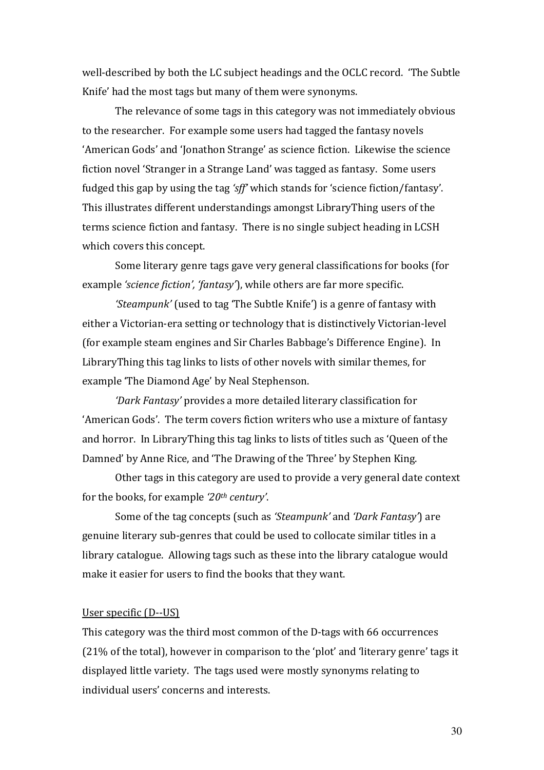well-described by both the LC subject headings and the OCLC record. 'The Subtle Knife' had the most tags but many of them were synonyms.

 The relevance of some tags in this category was not immediately obvious to the researcher. For example some users had tagged the fantasy novels 'American Gods' and 'Jonathon Strange' as science fiction. Likewise the science fiction novel 'Stranger in a Strange Land' was tagged as fantasy. Some users fudged this gap by using the tag 'sff' which stands for 'science fiction/fantasy'. This illustrates different understandings amongst LibraryThing users of the terms science fiction and fantasy. There is no single subject heading in LCSH which covers this concept.

 Some literary genre tags gave very general classifications for books (for example 'science fiction', 'fantasy'), while others are far more specific.

'Steampunk' (used to tag 'The Subtle Knife') is a genre of fantasy with either a Victorian-era setting or technology that is distinctively Victorian-level (for example steam engines and Sir Charles Babbage's Difference Engine). In LibraryThing this tag links to lists of other novels with similar themes, for example 'The Diamond Age' by Neal Stephenson.

'Dark Fantasy' provides a more detailed literary classification for 'American Gods'. The term covers fiction writers who use a mixture of fantasy and horror. In LibraryThing this tag links to lists of titles such as 'Queen of the Damned' by Anne Rice, and 'The Drawing of the Three' by Stephen King.

 Other tags in this category are used to provide a very general date context for the books, for example  $20<sup>th</sup>$  century'.

 Some of the tag concepts (such as 'Steampunk' and 'Dark Fantasy') are genuine literary sub-genres that could be used to collocate similar titles in a library catalogue. Allowing tags such as these into the library catalogue would make it easier for users to find the books that they want.

#### User specific (D--US)

This category was the third most common of the D-tags with 66 occurrences (21% of the total), however in comparison to the 'plot' and 'literary genre' tags it displayed little variety. The tags used were mostly synonyms relating to individual users' concerns and interests.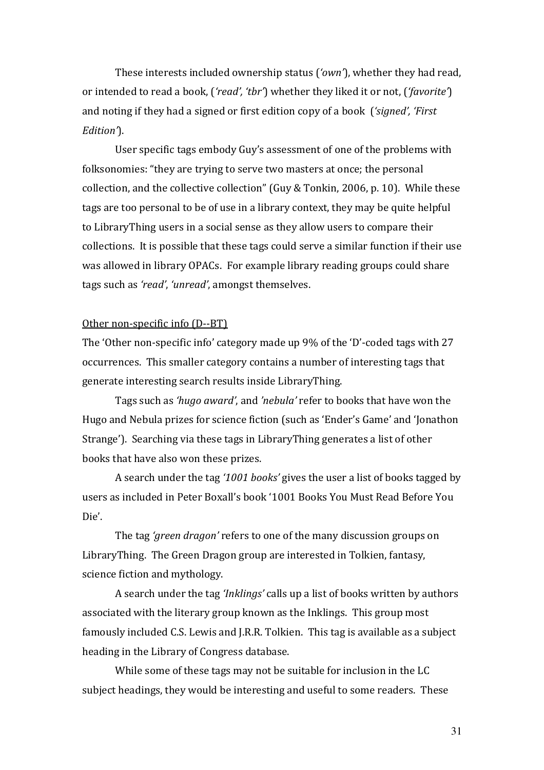These interests included ownership status ('own'), whether they had read, or intended to read a book, ('read', 'tbr') whether they liked it or not, ('favorite') and noting if they had a signed or first edition copy of a book ('signed', 'First Edition<sup>'</sup>).

 User specific tags embody Guy's assessment of one of the problems with folksonomies: "they are trying to serve two masters at once; the personal collection, and the collective collection" (Guy & Tonkin, 2006, p. 10). While these tags are too personal to be of use in a library context, they may be quite helpful to LibraryThing users in a social sense as they allow users to compare their collections. It is possible that these tags could serve a similar function if their use was allowed in library OPACs. For example library reading groups could share tags such as 'read', 'unread', amongst themselves.

#### Other non-specific info (D--BT)

The 'Other non-specific info' category made up 9% of the 'D'-coded tags with 27 occurrences. This smaller category contains a number of interesting tags that generate interesting search results inside LibraryThing.

Tags such as 'hugo award', and 'nebula' refer to books that have won the Hugo and Nebula prizes for science fiction (such as 'Ender's Game' and 'Jonathon Strange'). Searching via these tags in LibraryThing generates a list of other books that have also won these prizes.

A search under the tag '1001 books' gives the user a list of books tagged by users as included in Peter Boxall's book '1001 Books You Must Read Before You Die'.

The tag 'green dragon' refers to one of the many discussion groups on LibraryThing. The Green Dragon group are interested in Tolkien, fantasy, science fiction and mythology.

A search under the tag 'Inklings' calls up a list of books written by authors associated with the literary group known as the Inklings. This group most famously included C.S. Lewis and J.R.R. Tolkien. This tag is available as a subject heading in the Library of Congress database.

While some of these tags may not be suitable for inclusion in the LC subject headings, they would be interesting and useful to some readers. These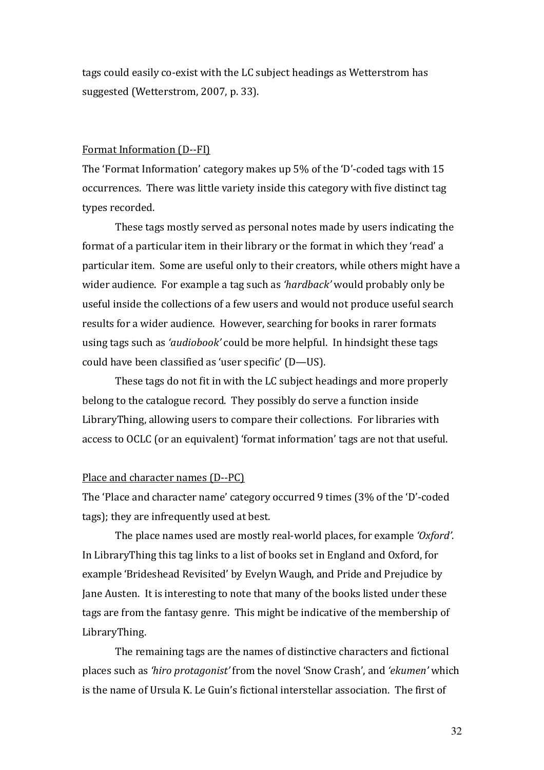tags could easily co-exist with the LC subject headings as Wetterstrom has suggested (Wetterstrom, 2007, p. 33).

#### Format Information (D--FI)

The 'Format Information' category makes up 5% of the 'D'-coded tags with 15 occurrences. There was little variety inside this category with five distinct tag types recorded.

These tags mostly served as personal notes made by users indicating the format of a particular item in their library or the format in which they 'read' a particular item. Some are useful only to their creators, while others might have a wider audience. For example a tag such as 'hardback' would probably only be useful inside the collections of a few users and would not produce useful search results for a wider audience. However, searching for books in rarer formats using tags such as 'audiobook' could be more helpful. In hindsight these tags could have been classified as 'user specific' (D—US).

These tags do not fit in with the LC subject headings and more properly belong to the catalogue record. They possibly do serve a function inside LibraryThing, allowing users to compare their collections. For libraries with access to OCLC (or an equivalent) 'format information' tags are not that useful.

#### Place and character names (D--PC)

The 'Place and character name' category occurred 9 times (3% of the 'D'-coded tags); they are infrequently used at best.

The place names used are mostly real-world places, for example 'Oxford'. In LibraryThing this tag links to a list of books set in England and Oxford, for example 'Brideshead Revisited' by Evelyn Waugh, and Pride and Prejudice by Jane Austen. It is interesting to note that many of the books listed under these tags are from the fantasy genre. This might be indicative of the membership of LibraryThing.

 The remaining tags are the names of distinctive characters and fictional places such as 'hiro protagonist' from the novel 'Snow Crash', and 'ekumen' which is the name of Ursula K. Le Guin's fictional interstellar association. The first of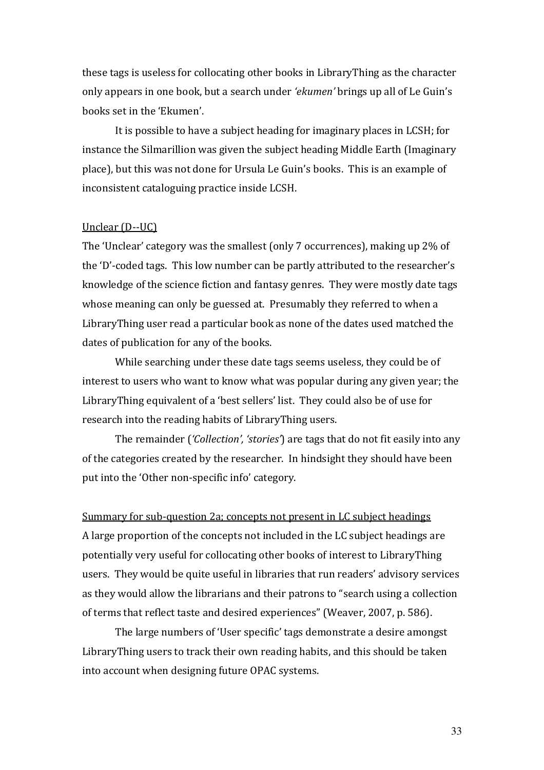these tags is useless for collocating other books in LibraryThing as the character only appears in one book, but a search under 'ekumen' brings up all of Le Guin's books set in the 'Ekumen'.

 It is possible to have a subject heading for imaginary places in LCSH; for instance the Silmarillion was given the subject heading Middle Earth (Imaginary place), but this was not done for Ursula Le Guin's books. This is an example of inconsistent cataloguing practice inside LCSH.

### Unclear (D--UC)

The 'Unclear' category was the smallest (only 7 occurrences), making up 2% of the 'D'-coded tags. This low number can be partly attributed to the researcher's knowledge of the science fiction and fantasy genres. They were mostly date tags whose meaning can only be guessed at. Presumably they referred to when a LibraryThing user read a particular book as none of the dates used matched the dates of publication for any of the books.

While searching under these date tags seems useless, they could be of interest to users who want to know what was popular during any given year; the LibraryThing equivalent of a 'best sellers' list. They could also be of use for research into the reading habits of LibraryThing users.

 The remainder ('Collection', 'stories') are tags that do not fit easily into any of the categories created by the researcher. In hindsight they should have been put into the 'Other non-specific info' category.

Summary for sub-question 2a; concepts not present in LC subject headings A large proportion of the concepts not included in the LC subject headings are potentially very useful for collocating other books of interest to LibraryThing users. They would be quite useful in libraries that run readers' advisory services as they would allow the librarians and their patrons to "search using a collection of terms that reflect taste and desired experiences" (Weaver, 2007, p. 586).

 The large numbers of 'User specific' tags demonstrate a desire amongst LibraryThing users to track their own reading habits, and this should be taken into account when designing future OPAC systems.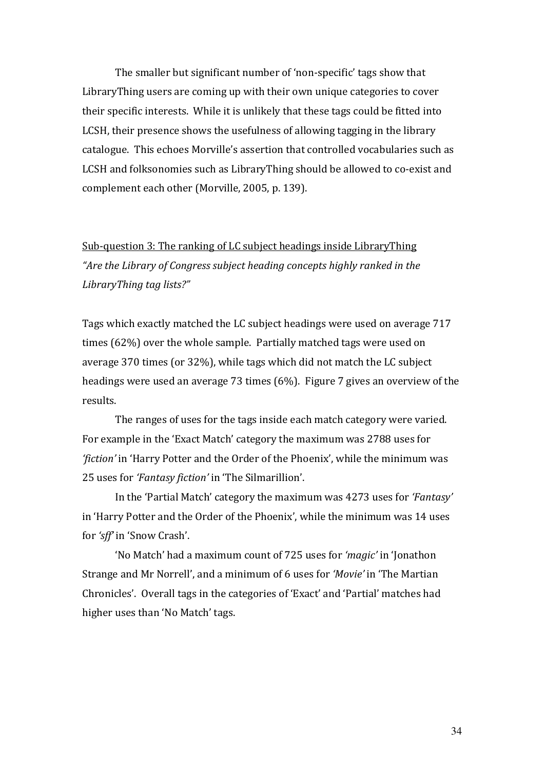The smaller but significant number of 'non-specific' tags show that LibraryThing users are coming up with their own unique categories to cover their specific interests. While it is unlikely that these tags could be fitted into LCSH, their presence shows the usefulness of allowing tagging in the library catalogue. This echoes Morville's assertion that controlled vocabularies such as LCSH and folksonomies such as LibraryThing should be allowed to co-exist and complement each other (Morville, 2005, p. 139).

Sub-question 3: The ranking of LC subject headings inside LibraryThing "Are the Library of Congress subject heading concepts highly ranked in the LibraryThing tag lists?"

Tags which exactly matched the LC subject headings were used on average 717 times (62%) over the whole sample. Partially matched tags were used on average 370 times (or 32%), while tags which did not match the LC subject headings were used an average 73 times (6%). Figure 7 gives an overview of the results.

 The ranges of uses for the tags inside each match category were varied. For example in the 'Exact Match' category the maximum was 2788 uses for 'fiction' in 'Harry Potter and the Order of the Phoenix', while the minimum was 25 uses for 'Fantasy fiction' in 'The Silmarillion'.

In the 'Partial Match' category the maximum was 4273 uses for 'Fantasy' in 'Harry Potter and the Order of the Phoenix', while the minimum was 14 uses for 'sff' in 'Snow Crash'.

'No Match' had a maximum count of 725 uses for 'magic' in 'Jonathon Strange and Mr Norrell', and a minimum of 6 uses for 'Movie' in 'The Martian Chronicles'. Overall tags in the categories of 'Exact' and 'Partial' matches had higher uses than 'No Match' tags.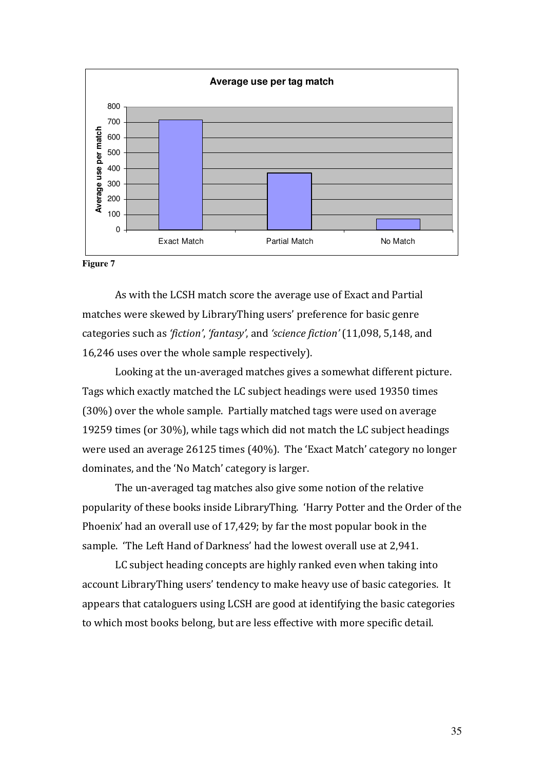

#### **Figure 7**

As with the LCSH match score the average use of Exact and Partial matches were skewed by LibraryThing users' preference for basic genre categories such as 'fiction', 'fantasy', and 'science fiction' (11,098, 5,148, and 16,246 uses over the whole sample respectively).

Looking at the un-averaged matches gives a somewhat different picture. Tags which exactly matched the LC subject headings were used 19350 times (30%) over the whole sample. Partially matched tags were used on average 19259 times (or 30%), while tags which did not match the LC subject headings were used an average 26125 times (40%). The 'Exact Match' category no longer dominates, and the 'No Match' category is larger.

The un-averaged tag matches also give some notion of the relative popularity of these books inside LibraryThing. 'Harry Potter and the Order of the Phoenix' had an overall use of 17,429; by far the most popular book in the sample. 'The Left Hand of Darkness' had the lowest overall use at 2,941.

 LC subject heading concepts are highly ranked even when taking into account LibraryThing users' tendency to make heavy use of basic categories. It appears that cataloguers using LCSH are good at identifying the basic categories to which most books belong, but are less effective with more specific detail.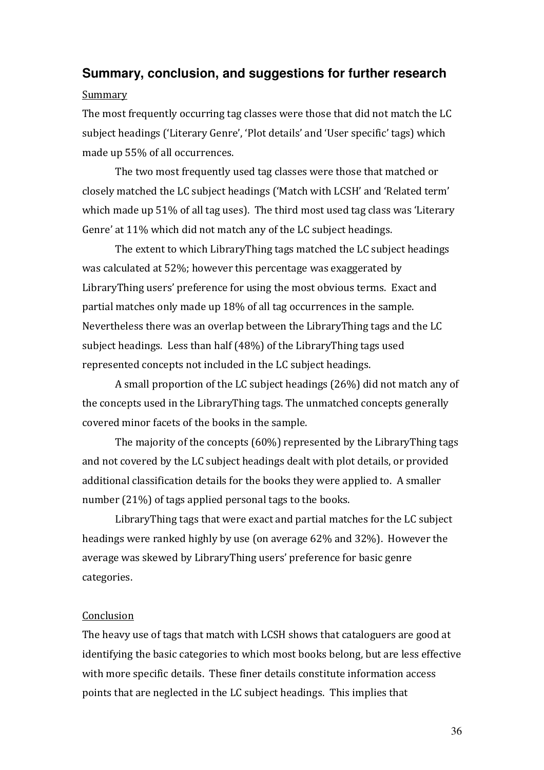# **Summary, conclusion, and suggestions for further research**  Summary

The most frequently occurring tag classes were those that did not match the LC subject headings ('Literary Genre', 'Plot details' and 'User specific' tags) which made up 55% of all occurrences.

The two most frequently used tag classes were those that matched or closely matched the LC subject headings ('Match with LCSH' and 'Related term' which made up 51% of all tag uses). The third most used tag class was 'Literary Genre' at 11% which did not match any of the LC subject headings.

The extent to which LibraryThing tags matched the LC subject headings was calculated at 52%; however this percentage was exaggerated by LibraryThing users' preference for using the most obvious terms. Exact and partial matches only made up 18% of all tag occurrences in the sample. Nevertheless there was an overlap between the LibraryThing tags and the LC subject headings. Less than half (48%) of the LibraryThing tags used represented concepts not included in the LC subject headings.

A small proportion of the LC subject headings (26%) did not match any of the concepts used in the LibraryThing tags. The unmatched concepts generally covered minor facets of the books in the sample.

 The majority of the concepts (60%) represented by the LibraryThing tags and not covered by the LC subject headings dealt with plot details, or provided additional classification details for the books they were applied to. A smaller number (21%) of tags applied personal tags to the books.

 LibraryThing tags that were exact and partial matches for the LC subject headings were ranked highly by use (on average 62% and 32%). However the average was skewed by LibraryThing users' preference for basic genre categories.

### Conclusion

The heavy use of tags that match with LCSH shows that cataloguers are good at identifying the basic categories to which most books belong, but are less effective with more specific details. These finer details constitute information access points that are neglected in the LC subject headings. This implies that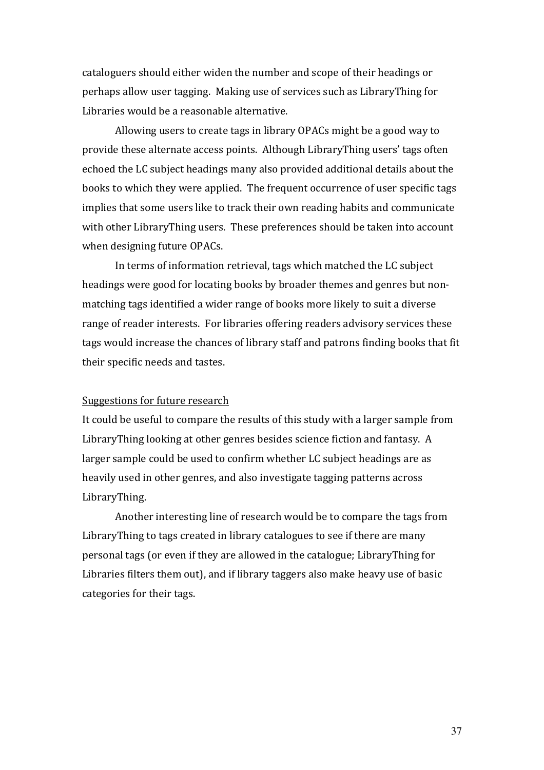cataloguers should either widen the number and scope of their headings or perhaps allow user tagging. Making use of services such as LibraryThing for Libraries would be a reasonable alternative.

Allowing users to create tags in library OPACs might be a good way to provide these alternate access points. Although LibraryThing users' tags often echoed the LC subject headings many also provided additional details about the books to which they were applied. The frequent occurrence of user specific tags implies that some users like to track their own reading habits and communicate with other LibraryThing users. These preferences should be taken into account when designing future OPACs.

 In terms of information retrieval, tags which matched the LC subject headings were good for locating books by broader themes and genres but nonmatching tags identified a wider range of books more likely to suit a diverse range of reader interests. For libraries offering readers advisory services these tags would increase the chances of library staff and patrons finding books that fit their specific needs and tastes.

#### Suggestions for future research

It could be useful to compare the results of this study with a larger sample from LibraryThing looking at other genres besides science fiction and fantasy. A larger sample could be used to confirm whether LC subject headings are as heavily used in other genres, and also investigate tagging patterns across LibraryThing.

 Another interesting line of research would be to compare the tags from LibraryThing to tags created in library catalogues to see if there are many personal tags (or even if they are allowed in the catalogue; LibraryThing for Libraries filters them out), and if library taggers also make heavy use of basic categories for their tags.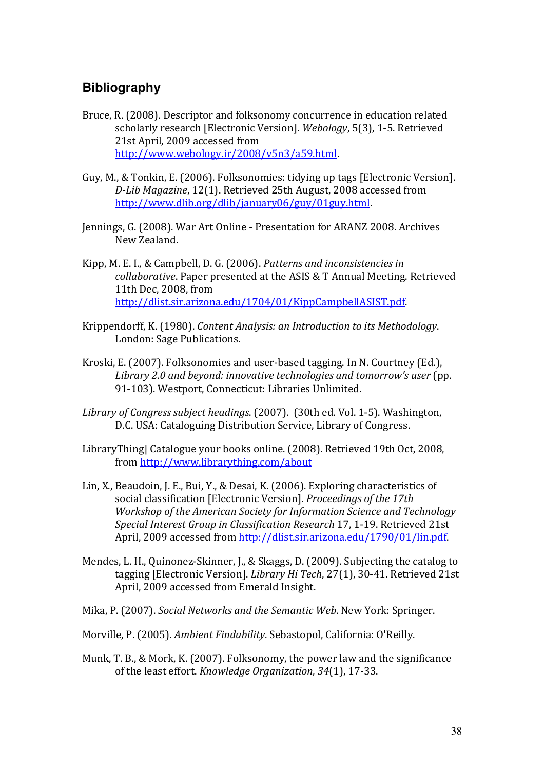# **Bibliography**

- Bruce, R. (2008). Descriptor and folksonomy concurrence in education related scholarly research [Electronic Version]. Webology, 5(3), 1-5. Retrieved 21st April, 2009 accessed from http://www.webology.ir/2008/v5n3/a59.html.
- Guy, M., & Tonkin, E. (2006). Folksonomies: tidying up tags [Electronic Version]. D-Lib Magazine, 12(1). Retrieved 25th August, 2008 accessed from http://www.dlib.org/dlib/january06/guy/01guy.html.
- Jennings, G. (2008). War Art Online Presentation for ARANZ 2008. Archives New Zealand.
- Kipp, M. E. I., & Campbell, D. G. (2006). Patterns and inconsistencies in collaborative. Paper presented at the ASIS & T Annual Meeting. Retrieved 11th Dec, 2008, from http://dlist.sir.arizona.edu/1704/01/KippCampbellASIST.pdf.
- Krippendorff, K. (1980). Content Analysis: an Introduction to its Methodology. London: Sage Publications.
- Kroski, E. (2007). Folksonomies and user-based tagging. In N. Courtney (Ed.), Library 2.0 and beyond: innovative technologies and tomorrow's user (pp. 91-103). Westport, Connecticut: Libraries Unlimited.
- Library of Congress subject headings. (2007). (30th ed. Vol. 1-5). Washington, D.C. USA: Cataloguing Distribution Service, Library of Congress.
- LibraryThing| Catalogue your books online. (2008). Retrieved 19th Oct, 2008, from http://www.librarything.com/about
- Lin, X., Beaudoin, J. E., Bui, Y., & Desai, K. (2006). Exploring characteristics of social classification [Electronic Version]. Proceedings of the 17th Workshop of the American Society for Information Science and Technology Special Interest Group in Classification Research 17, 1-19. Retrieved 21st April, 2009 accessed from http://dlist.sir.arizona.edu/1790/01/lin.pdf.
- Mendes, L. H., Quinonez-Skinner, J., & Skaggs, D. (2009). Subjecting the catalog to tagging [Electronic Version]. Library Hi Tech, 27(1), 30-41. Retrieved 21st April, 2009 accessed from Emerald Insight.
- Mika, P. (2007). Social Networks and the Semantic Web. New York: Springer.
- Morville, P. (2005). Ambient Findability. Sebastopol, California: O'Reilly.
- Munk, T. B., & Mork, K. (2007). Folksonomy, the power law and the significance of the least effort. Knowledge Organization, 34(1), 17-33.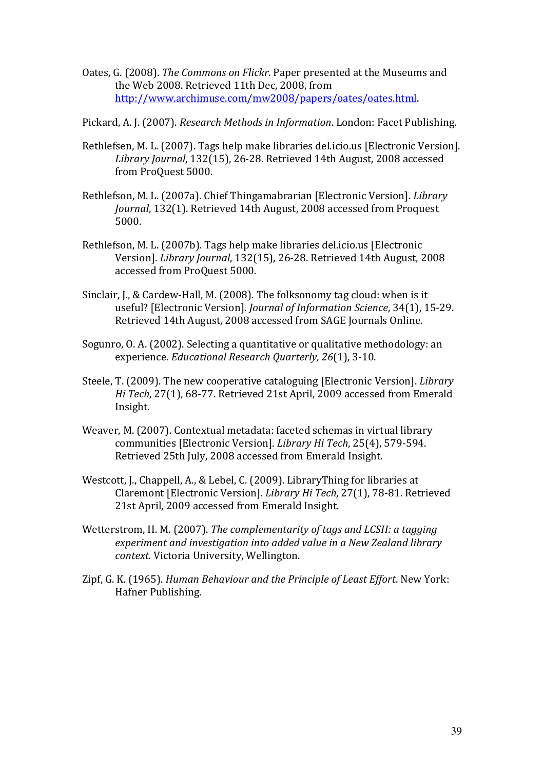Oates, G. (2008). The Commons on Flickr. Paper presented at the Museums and the Web 2008. Retrieved 11th Dec, 2008, from http://www.archimuse.com/mw2008/papers/oates/oates.html.

Pickard, A. J. (2007). Research Methods in Information. London: Facet Publishing.

- Rethlefsen, M. L. (2007). Tags help make libraries del.icio.us [Electronic Version]. Library Journal, 132(15), 26-28. Retrieved 14th August, 2008 accessed from ProQuest 5000.
- Rethlefson, M. L. (2007a). Chief Thingamabrarian [Electronic Version]. Library Journal, 132(1). Retrieved 14th August, 2008 accessed from Proquest 5000.
- Rethlefson, M. L. (2007b). Tags help make libraries del.icio.us [Electronic Version]. Library Journal, 132(15), 26-28. Retrieved 14th August, 2008 accessed from ProQuest 5000.
- Sinclair, J., & Cardew-Hall, M. (2008). The folksonomy tag cloud: when is it useful? [Electronic Version]. Journal of Information Science, 34(1), 15-29. Retrieved 14th August, 2008 accessed from SAGE Journals Online.
- Sogunro, O. A. (2002). Selecting a quantitative or qualitative methodology: an experience. Educational Research Quarterly, 26(1), 3-10.
- Steele, T. (2009). The new cooperative cataloguing [Electronic Version]. Library Hi Tech, 27(1), 68-77. Retrieved 21st April, 2009 accessed from Emerald Insight.
- Weaver, M. (2007). Contextual metadata: faceted schemas in virtual library communities [Electronic Version]. Library Hi Tech, 25(4), 579-594. Retrieved 25th July, 2008 accessed from Emerald Insight.
- Westcott, J., Chappell, A., & Lebel, C. (2009). LibraryThing for libraries at Claremont [Electronic Version]. Library Hi Tech, 27(1), 78-81. Retrieved 21st April, 2009 accessed from Emerald Insight.
- Wetterstrom, H. M. (2007). The complementarity of tags and LCSH: a tagging experiment and investigation into added value in a New Zealand library context. Victoria University, Wellington.
- Zipf, G. K. (1965). Human Behaviour and the Principle of Least Effort. New York: Hafner Publishing.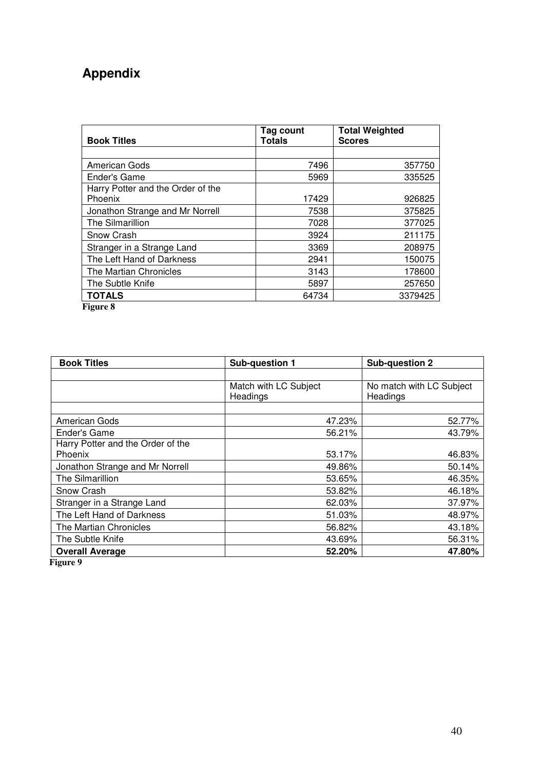# **Appendix**

| <b>Book Titles</b>                           | Tag count<br>Totals | <b>Total Weighted</b><br><b>Scores</b> |
|----------------------------------------------|---------------------|----------------------------------------|
|                                              |                     |                                        |
| American Gods                                | 7496                | 357750                                 |
| Ender's Game                                 | 5969                | 335525                                 |
| Harry Potter and the Order of the<br>Phoenix | 17429               | 926825                                 |
| Jonathon Strange and Mr Norrell              | 7538                | 375825                                 |
| The Silmarillion                             | 7028                | 377025                                 |
| Snow Crash                                   | 3924                | 211175                                 |
| Stranger in a Strange Land                   | 3369                | 208975                                 |
| The Left Hand of Darkness                    | 2941                | 150075                                 |
| The Martian Chronicles                       | 3143                | 178600                                 |
| The Subtle Knife                             | 5897                | 257650                                 |
| <b>TOTALS</b>                                | 64734               | 3379425                                |

**Figure 8**

| <b>Book Titles</b>                             | Sub-question 1        | Sub-question 2           |
|------------------------------------------------|-----------------------|--------------------------|
|                                                |                       |                          |
|                                                | Match with LC Subject | No match with LC Subject |
|                                                | Headings              | Headings                 |
|                                                |                       |                          |
| American Gods                                  | 47.23%                | 52.77%                   |
| Ender's Game                                   | 56.21%                | 43.79%                   |
| Harry Potter and the Order of the              |                       |                          |
| Phoenix                                        | 53.17%                | 46.83%                   |
| Jonathon Strange and Mr Norrell                | 49.86%                | 50.14%                   |
| The Silmarillion                               | 53.65%                | 46.35%                   |
| Snow Crash                                     | 53.82%                | 46.18%                   |
| Stranger in a Strange Land                     | 62.03%                | 37.97%                   |
| The Left Hand of Darkness                      | 51.03%                | 48.97%                   |
| The Martian Chronicles                         | 56.82%                | 43.18%                   |
| The Subtle Knife                               | 43.69%                | 56.31%                   |
| <b>Overall Average</b><br><b>править стала</b> | 52.20%                | 47.80%                   |

**Figure 9**